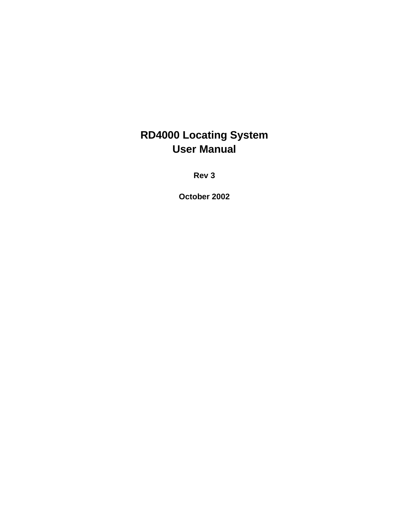**Rev 3**

**October 2002**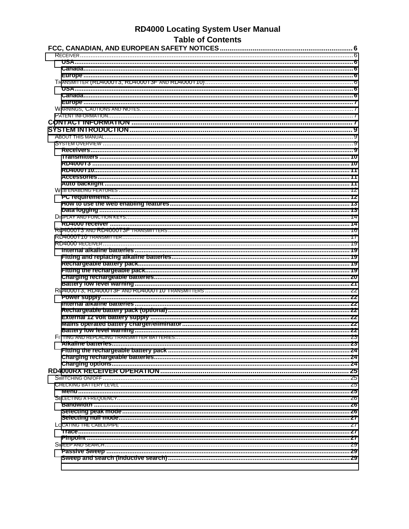## **RD4000 Locating System User Manual** Table of Contents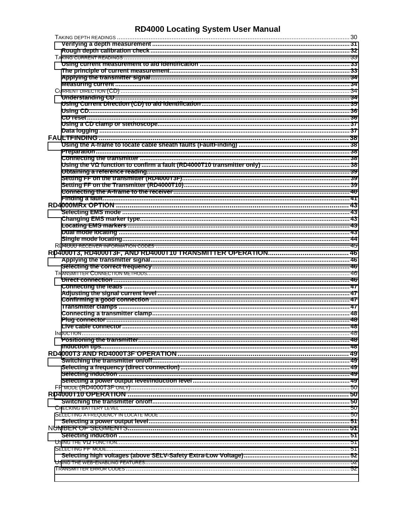| INDUCTION. |  |
|------------|--|
|            |  |
|            |  |
|            |  |
|            |  |
|            |  |
|            |  |
|            |  |
|            |  |
|            |  |
|            |  |
|            |  |
|            |  |
|            |  |
|            |  |
|            |  |
|            |  |
|            |  |
|            |  |
|            |  |
|            |  |
|            |  |
|            |  |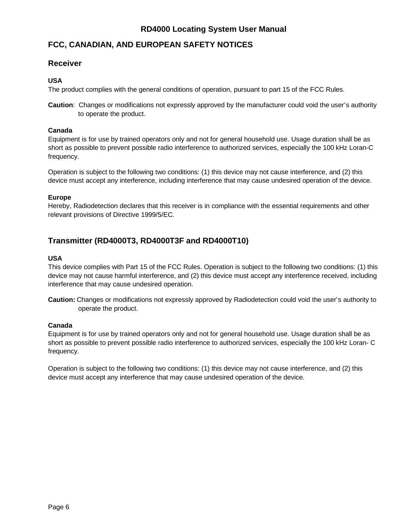## <span id="page-5-0"></span>**FCC, CANADIAN, AND EUROPEAN SAFETY NOTICES**

### **Receiver**

### **USA**

The product complies with the general conditions of operation, pursuant to part 15 of the FCC Rules.

**Caution**: Changes or modifications not expressly approved by the manufacturer could void the user's authority to operate the product.

### **Canada**

Equipment is for use by trained operators only and not for general household use. Usage duration shall be as short as possible to prevent possible radio interference to authorized services, especially the 100 kHz Loran-C frequency.

Operation is subject to the following two conditions: (1) this device may not cause interference, and (2) this device must accept any interference, including interference that may cause undesired operation of the device.

### **Europe**

Hereby, Radiodetection declares that this receiver is in compliance with the essential requirements and other relevant provisions of Directive 1999/5/EC.

## **Transmitter (RD4000T3, RD4000T3F and RD4000T10)**

### **USA**

This device complies with Part 15 of the FCC Rules. Operation is subject to the following two conditions: (1) this device may not cause harmful interference, and (2) this device must accept any interference received, including interference that may cause undesired operation.

**Caution:** Changes or modifications not expressly approved by Radiodetection could void the user's authority to operate the product.

### **Canada**

Equipment is for use by trained operators only and not for general household use. Usage duration shall be as short as possible to prevent possible radio interference to authorized services, especially the 100 kHz Loran- C frequency.

Operation is subject to the following two conditions: (1) this device may not cause interference, and (2) this device must accept any interference that may cause undesired operation of the device.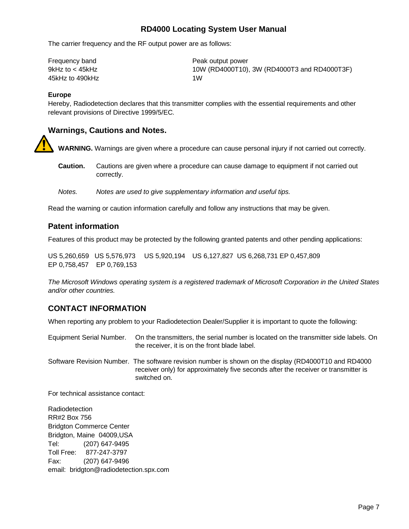<span id="page-6-0"></span>The carrier frequency and the RF output power are as follows:

| Frequency band  | Peak output power                            |
|-----------------|----------------------------------------------|
| 9kHz to < 45kHz | 10W (RD4000T10), 3W (RD4000T3 and RD4000T3F) |
| 45kHz to 490kHz | 1W                                           |

#### **Europe**

Hereby, Radiodetection declares that this transmitter complies with the essential requirements and other relevant provisions of Directive 1999/5/EC.

### **Warnings, Cautions and Notes.**

**WARNING.** Warnings are given where a procedure can cause personal injury if not carried out correctly.

- **Caution.** Cautions are given where a procedure can cause damage to equipment if not carried out correctly.
- *Notes. Notes are used to give supplementary information and useful tips.*

Read the warning or caution information carefully and follow any instructions that may be given.

### **Patent information**

Features of this product may be protected by the following granted patents and other pending applications:

US 5,260,659 US 5,576,973 US 5,920,194 US 6,127,827 US 6,268,731 EP 0,457,809 EP 0,758,457 EP 0,769,153

*The Microsoft Windows operating system is a registered trademark of Microsoft Corporation in the United States and/or other countries.*

### **CONTACT INFORMATION**

When reporting any problem to your Radiodetection Dealer/Supplier it is important to quote the following:

Equipment Serial Number. On the transmitters, the serial number is located on the transmitter side labels. On the receiver, it is on the front blade label.

Software Revision Number. The software revision number is shown on the display (RD4000T10 and RD4000 receiver only) for approximately five seconds after the receiver or transmitter is switched on.

For technical assistance contact:

Radiodetection RR#2 Box 756 Bridgton Commerce Center Bridgton, Maine 04009,USA Tel: (207) 647-9495 Toll Free: 877-247-3797 Fax: (207) 647-9496 email: bridgton@radiodetection.spx.com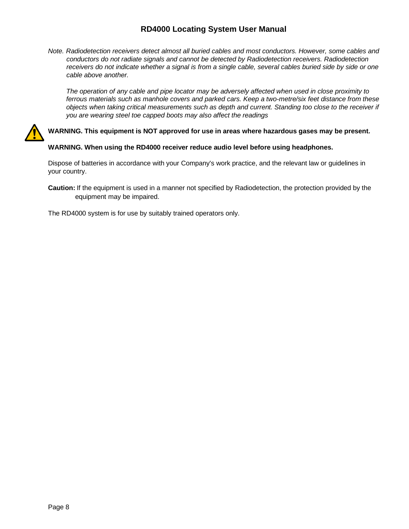*Note. Radiodetection receivers detect almost all buried cables and most conductors. However, some cables and conductors do not radiate signals and cannot be detected by Radiodetection receivers. Radiodetection receivers do not indicate whether a signal is from a single cable, several cables buried side by side or one cable above another.*

*The operation of any cable and pipe locator may be adversely affected when used in close proximity to ferrous materials such as manhole covers and parked cars. Keep a two-metre/six feet distance from these objects when taking critical measurements such as depth and current. Standing too close to the receiver if you are wearing steel toe capped boots may also affect the readings*



**WARNING. This equipment is NOT approved for use in areas where hazardous gases may be present***.*

### **WARNING. When using the RD4000 receiver reduce audio level before using headphones.**

Dispose of batteries in accordance with your Company's work practice, and the relevant law or guidelines in your country.

**Caution:** If the equipment is used in a manner not specified by Radiodetection, the protection provided by the equipment may be impaired.

The RD4000 system is for use by suitably trained operators only.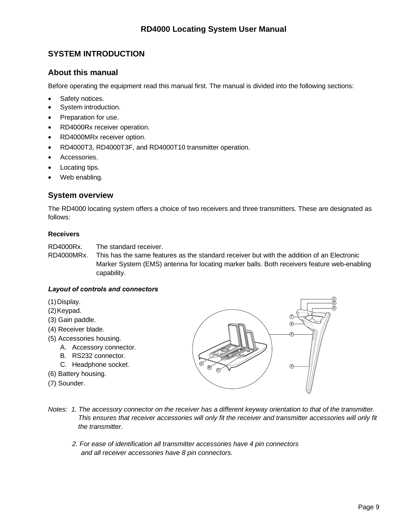## <span id="page-8-0"></span>**SYSTEM INTRODUCTION**

## **About this manual**

Before operating the equipment read this manual first. The manual is divided into the following sections:

- Safety notices.
- System introduction.
- Preparation for use.
- RD4000Rx receiver operation.
- RD4000MRx receiver option.
- RD4000T3, RD4000T3F, and RD4000T10 transmitter operation.
- Accessories.
- Locating tips.
- Web enabling.

### **System overview**

The RD4000 locating system offers a choice of two receivers and three transmitters. These are designated as follows:

### **Receivers**

RD4000Rx. The standard receiver.

RD4000MRx. This has the same features as the standard receiver but with the addition of an Electronic Marker System (EMS) antenna for locating marker balls. Both receivers feature web-enabling capability.

### *Layout of controls and connectors*

- (1)Display.
- (2)Keypad.
- (3) Gain paddle.
- (4) Receiver blade.
- (5) Accessories housing.
	- A. Accessory connector.
	- B. RS232 connector.
	- C. Headphone socket.
- (6) Battery housing.
- (7) Sounder.



- *Notes: 1. The accessory connector on the receiver has a different keyway orientation to that of the transmitter. This ensures that receiver accessories will only fit the receiver and transmitter accessories will only fit the transmitter.*
	- *2. For ease of identification all transmitter accessories have 4 pin connectors and all receiver accessories have 8 pin connectors.*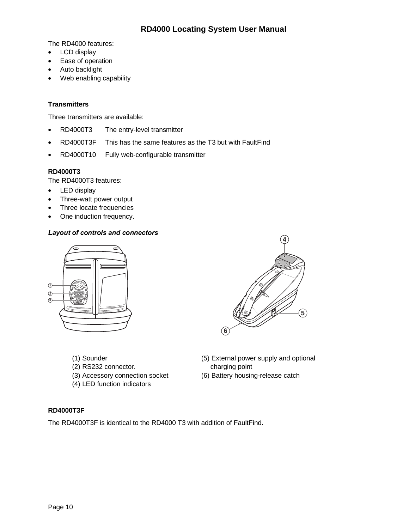<span id="page-9-0"></span>The RD4000 features:

- LCD display
- Ease of operation
- Auto backlight
- Web enabling capability

### **Transmitters**

Three transmitters are available:

- RD4000T3 The entry-level transmitter
- RD4000T3F This has the same features as the T3 but with FaultFind
- RD4000T10 Fully web-configurable transmitter

### **RD4000T3**

The RD4000T3 features:

- LED display
- Three-watt power output
- Three locate frequencies
- One induction frequency.

### *Layout of controls and connectors*





- 
- (2) RS232 connector. charging point
- (3) Accessory connection socket (6) Battery housing-release catch
- (4) LED function indicators
- (1) Sounder (5) External power supply and optional
- **RD4000T3F**

The RD4000T3F is identical to the RD4000 T3 with addition of FaultFind.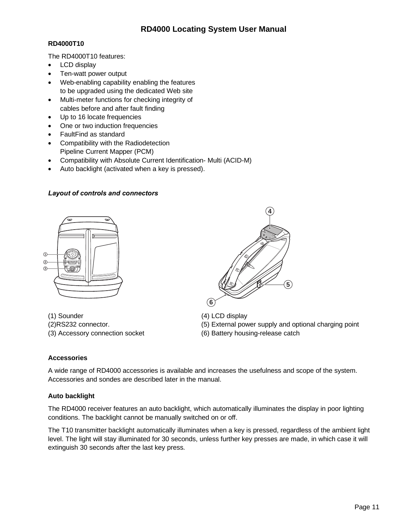### <span id="page-10-0"></span>**RD4000T10**

The RD4000T10 features:

- LCD display
- Ten-watt power output
- Web-enabling capability enabling the features to be upgraded using the dedicated Web site
- Multi-meter functions for checking integrity of cables before and after fault finding
- Up to 16 locate frequencies
- One or two induction frequencies
- FaultFind as standard
- Compatibility with the Radiodetection Pipeline Current Mapper (PCM)
- Compatibility with Absolute Current Identification- Multi (ACID-M)
- Auto backlight (activated when a key is pressed).

### *Layout of controls and connectors*



(1) Sounder (4) LCD display



- (2)RS232 connector. (5) External power supply and optional charging point
- (3) Accessory connection socket (6) Battery housing-release catch

### **Accessories**

A wide range of RD4000 accessories is available and increases the usefulness and scope of the system. Accessories and sondes are described later in the manual.

### **Auto backlight**

The RD4000 receiver features an auto backlight, which automatically illuminates the display in poor lighting conditions. The backlight cannot be manually switched on or off.

The T10 transmitter backlight automatically illuminates when a key is pressed, regardless of the ambient light level. The light will stay illuminated for 30 seconds, unless further key presses are made, in which case it will extinguish 30 seconds after the last key press.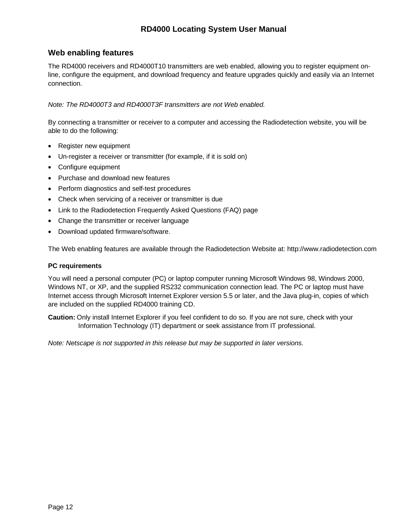### <span id="page-11-0"></span>**Web enabling features**

The RD4000 receivers and RD4000T10 transmitters are web enabled, allowing you to register equipment online, configure the equipment, and download frequency and feature upgrades quickly and easily via an Internet connection.

*Note: The RD4000T3 and RD4000T3F transmitters are not Web enabled.*

By connecting a transmitter or receiver to a computer and accessing the Radiodetection website, you will be able to do the following:

- Register new equipment
- Un-register a receiver or transmitter (for example, if it is sold on)
- Configure equipment
- Purchase and download new features
- Perform diagnostics and self-test procedures
- Check when servicing of a receiver or transmitter is due
- Link to the Radiodetection Frequently Asked Questions (FAQ) page
- Change the transmitter or receiver language
- Download updated firmware/software.

The Web enabling features are available through the Radiodetection Website at: http://www.radiodetection.com

#### **PC requirements**

You will need a personal computer (PC) or laptop computer running Microsoft Windows 98, Windows 2000, Windows NT, or XP, and the supplied RS232 communication connection lead. The PC or laptop must have Internet access through Microsoft Internet Explorer version 5.5 or later, and the Java plug-in, copies of which are included on the supplied RD4000 training CD.

**Caution:** Only install Internet Explorer if you feel confident to do so. If you are not sure, check with your Information Technology (IT) department or seek assistance from IT professional.

*Note: Netscape is not supported in this release but may be supported in later versions.*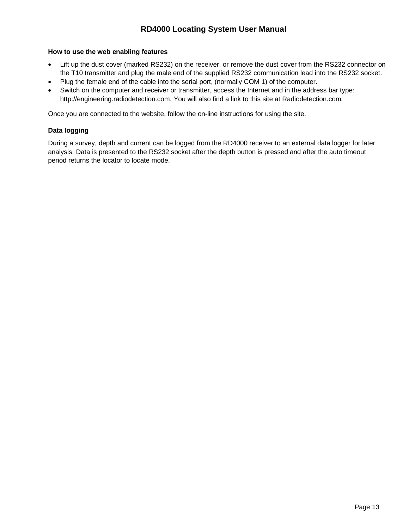### <span id="page-12-0"></span>**How to use the web enabling features**

- Lift up the dust cover (marked RS232) on the receiver, or remove the dust cover from the RS232 connector on the T10 transmitter and plug the male end of the supplied RS232 communication lead into the RS232 socket.
- Plug the female end of the cable into the serial port, (normally COM 1) of the computer.
- Switch on the computer and receiver or transmitter, access the Internet and in the address bar type: http://engineering.radiodetection.com. You will also find a link to this site at Radiodetection.com.

Once you are connected to the website, follow the on-line instructions for using the site.

### **Data logging**

During a survey, depth and current can be logged from the RD4000 receiver to an external data logger for later analysis. Data is presented to the RS232 socket after the depth button is pressed and after the auto timeout period returns the locator to locate mode.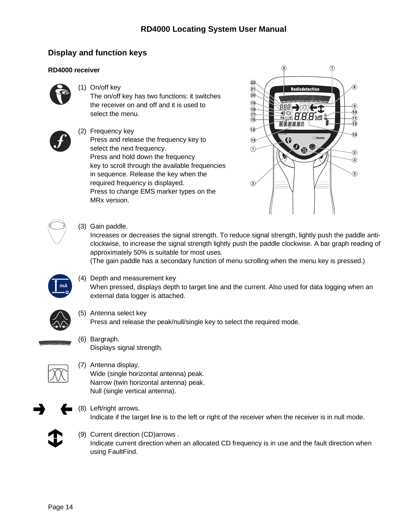## <span id="page-13-0"></span>**Display and function keys**

### **RD4000 receiver**



(1) On/off key

The on/off key has two functions: it switches the receiver on and off and it is used to select the menu.



(2) Frequency key Press and release the frequency key to select the next frequency. Press and hold down the frequency key to scroll through the available frequencies in sequence. Release the key when the required frequency is displayed. Press to change EMS marker types on the MRx version.



(3) Gain paddle.

Increases or decreases the signal strength. To reduce signal strength, lightly push the paddle anticlockwise, to increase the signal strength lightly push the paddle clockwise. A bar graph reading of approximately 50% is suitable for most uses.

(The gain paddle has a secondary function of menu scrolling when the menu key is pressed.)



(4) Depth and measurement key

When pressed, displays depth to target line and the current. Also used for data logging when an external data logger is attached.



(5) Antenna select key

Press and release the peak/null/single key to select the required mode.



(6) Bargraph. Displays signal strength.



(7) Antenna display. Wide (single horizontal antenna) peak. Narrow (twin horizontal antenna) peak. Null (single vertical antenna).



(8) Left/right arrows. Indicate if the target line is to the left or right of the receiver when the receiver is in null mode.



(9) Current direction (CD)arrows . Indicate current direction when an allocated CD frequency is in use and the fault direction when using FaultFind.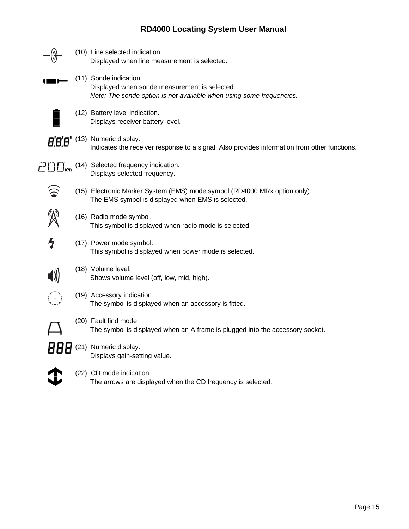|               | (10) Line selected indication.<br>Displayed when line measurement is selected.                                                                  |
|---------------|-------------------------------------------------------------------------------------------------------------------------------------------------|
|               | (11) Sonde indication.<br>Displayed when sonde measurement is selected.<br>Note: The sonde option is not available when using some frequencies. |
|               | (12) Battery level indication.<br>Displays receiver battery level.                                                                              |
|               | <b>8.8.9"</b> (13) Numeric display.<br>Indicates the receiver response to a signal. Also provides information from other functions.             |
|               | $Z$ $\Box$ $\Box$ <sub>KHz</sub> (14) Selected frequency indication.<br>Displays selected frequency.                                            |
|               | (15) Electronic Marker System (EMS) mode symbol (RD4000 MRx option only).<br>The EMS symbol is displayed when EMS is selected.                  |
|               | (16) Radio mode symbol.<br>This symbol is displayed when radio mode is selected.                                                                |
| $\mathcal{L}$ | (17) Power mode symbol.<br>This symbol is displayed when power mode is selected.                                                                |
|               | (18) Volume level.<br>Shows volume level (off, low, mid, high).                                                                                 |
|               | (19) Accessory indication.<br>The symbol is displayed when an accessory is fitted.                                                              |
|               | (20) Fault find mode.<br>The symbol is displayed when an A-frame is plugged into the accessory socket.                                          |
| 888           | (21) Numeric display.<br>Displays gain-setting value.                                                                                           |
|               | (22) CD mode indication.<br>The arrows are displayed when the CD frequency is selected.                                                         |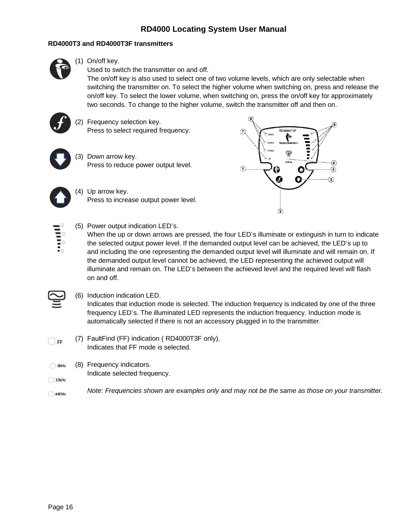### <span id="page-15-0"></span>**RD4000T3 and RD4000T3F transmitters**

- 
- (1) On/off key.

Used to switch the transmitter on and off.

The on/off key is also used to select one of two volume levels, which are only selectable when switching the transmitter on. To select the higher volume when switching on, press and release the on/off key. To select the lower volume, when switching on, press the on/off key for approximately two seconds. To change to the higher volume, switch the transmitter off and then on.



 $\frac{1}{10}$ 

(2) Frequency selection key. Press to select required frequency.



(4) Up arrow key. Press to increase output power level.



(5) Power output indication LED's.

When the up or down arrows are pressed, the four LED's illuminate or extinguish in turn to indicate the selected output power level. If the demanded output level can be achieved, the LED's up to and including the one representing the demanded output level will illuminate and will remain on. If the demanded output level cannot be achieved, the LED representing the achieved output will illuminate and remain on. The LED's between the achieved level and the required level will flash on and off.

- (6) Induction indication LED. Indicates that induction mode is selected. The induction frequency is indicated by one of the three frequency LED's. The illuminated LED represents the induction frequency. Induction mode is automatically selected if there is not an accessory plugged in to the transmitter.
- (7) FaultFind (FF) indication ( RD4000T3F only).  $\bigcirc$  FF . Indicates that FF mode is selected.
- (8) Frequency indicators.  $\bigcirc$  8kHz
- Indicate selected frequency.  $\bigcirc$  32kHz
- *Note: Frequencies shown are examples only and may not be the same as those on your transmitter.* $\bigcirc$  440Hz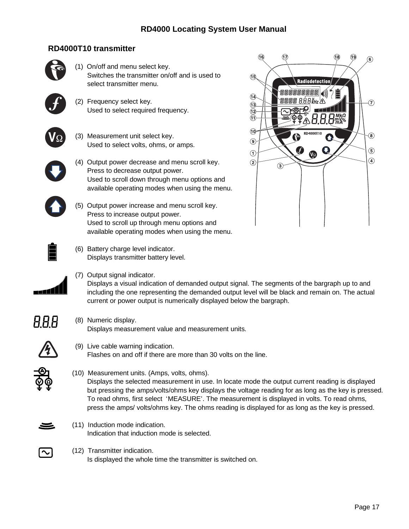## **RD4000T10 transmitter**

<span id="page-16-0"></span>

 $\circledast$ 

က

 $\circledast$ 

 $\circledS$ 

 $\circled{4}$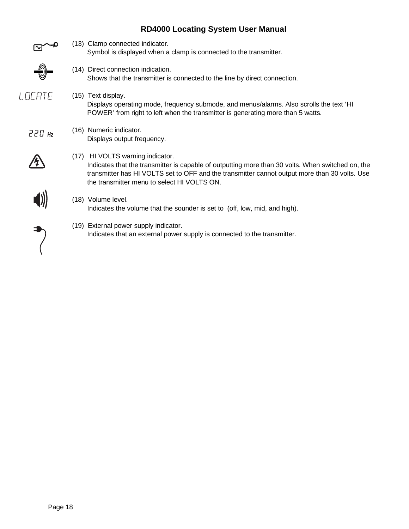(13) Clamp connected indicator. Symbol is displayed when a clamp is connected to the transmitter. (14) Direct connection indication. Shows that the transmitter is connected to the line by direct connection. LOCATE (15) Text display. Displays operating mode, frequency submode, and menus/alarms. Also scrolls the text 'HI POWER' from right to left when the transmitter is generating more than 5 watts. (16) Numeric indicator.  $220$  Hz Displays output frequency. (17) HI VOLTS warning indicator. Indicates that the transmitter is capable of outputting more than 30 volts. When switched on, the transmitter has HI VOLTS set to OFF and the transmitter cannot output more than 30 volts. Use the transmitter menu to select HI VOLTS ON. (18) Volume level. Indicates the volume that the sounder is set to (off, low, mid, and high). (19) External power supply indicator. Indicates that an external power supply is connected to the transmitter.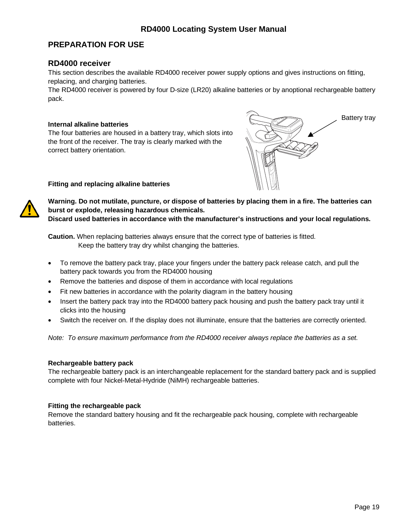### <span id="page-18-0"></span>**PREPARATION FOR USE**

### **RD4000 receiver**

This section describes the available RD4000 receiver power supply options and gives instructions on fitting, replacing, and charging batteries.

The RD4000 receiver is powered by four D-size (LR20) alkaline batteries or by anoptional rechargeable battery pack.

#### **Internal alkaline batteries**

The four batteries are housed in a battery tray, which slots into the front of the receiver. The tray is clearly marked with the correct battery orientation.



**Fitting and replacing alkaline batteries**



**Warning. Do not mutilate, puncture, or dispose of batteries by placing them in a fire. The batteries can burst or explode, releasing hazardous chemicals.**

**Discard used batteries in accordance with the manufacturer's instructions and your local regulations.**

**Caution.** When replacing batteries always ensure that the correct type of batteries is fitted. Keep the battery tray dry whilst changing the batteries.

- To remove the battery pack tray, place your fingers under the battery pack release catch, and pull the battery pack towards you from the RD4000 housing
- Remove the batteries and dispose of them in accordance with local regulations
- Fit new batteries in accordance with the polarity diagram in the battery housing
- Insert the battery pack tray into the RD4000 battery pack housing and push the battery pack tray until it clicks into the housing
- Switch the receiver on. If the display does not illuminate, ensure that the batteries are correctly oriented.

*Note: To ensure maximum performance from the RD4000 receiver always replace the batteries as a set.*

#### **Rechargeable battery pack**

The rechargeable battery pack is an interchangeable replacement for the standard battery pack and is supplied complete with four Nickel-Metal-Hydride (NiMH) rechargeable batteries.

#### **Fitting the rechargeable pack**

Remove the standard battery housing and fit the rechargeable pack housing, complete with rechargeable batteries.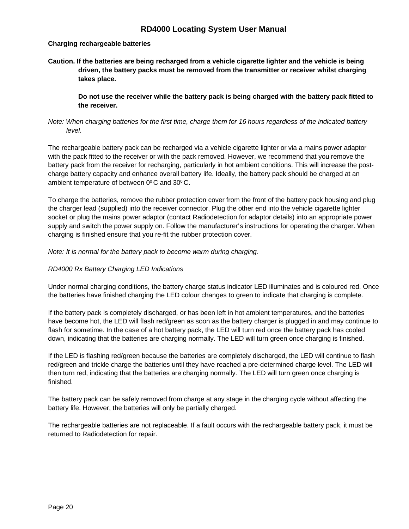### <span id="page-19-0"></span>**Charging rechargeable batteries**

**Caution. If the batteries are being recharged from a vehicle cigarette lighter and the vehicle is being driven, the battery packs must be removed from the transmitter or receiver whilst charging takes place.**

**Do not use the receiver while the battery pack is being charged with the battery pack fitted to the receiver.**

### *Note: When charging batteries for the first time, charge them for 16 hours regardless of the indicated battery level.*

The rechargeable battery pack can be recharged via a vehicle cigarette lighter or via a mains power adaptor with the pack fitted to the receiver or with the pack removed. However, we recommend that you remove the battery pack from the receiver for recharging, particularly in hot ambient conditions. This will increase the postcharge battery capacity and enhance overall battery life. Ideally, the battery pack should be charged at an ambient temperature of between 0°C and 30°C.

To charge the batteries, remove the rubber protection cover from the front of the battery pack housing and plug the charger lead (supplied) into the receiver connector. Plug the other end into the vehicle cigarette lighter socket or plug the mains power adaptor (contact Radiodetection for adaptor details) into an appropriate power supply and switch the power supply on. Follow the manufacturer's instructions for operating the charger. When charging is finished ensure that you re-fit the rubber protection cover.

*Note: It is normal for the battery pack to become warm during charging.*

### *RD4000 Rx Battery Charging LED Indications*

Under normal charging conditions, the battery charge status indicator LED illuminates and is coloured red. Once the batteries have finished charging the LED colour changes to green to indicate that charging is complete.

If the battery pack is completely discharged, or has been left in hot ambient temperatures, and the batteries have become hot, the LED will flash red/green as soon as the battery charger is plugged in and may continue to flash for sometime. In the case of a hot battery pack, the LED will turn red once the battery pack has cooled down, indicating that the batteries are charging normally. The LED will turn green once charging is finished.

If the LED is flashing red/green because the batteries are completely discharged, the LED will continue to flash red/green and trickle charge the batteries until they have reached a pre-determined charge level. The LED will then turn red, indicating that the batteries are charging normally. The LED will turn green once charging is finished.

The battery pack can be safely removed from charge at any stage in the charging cycle without affecting the battery life. However, the batteries will only be partially charged.

The rechargeable batteries are not replaceable. If a fault occurs with the rechargeable battery pack, it must be returned to Radiodetection for repair.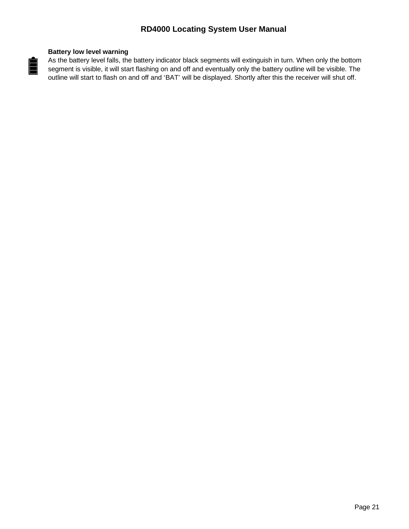### **Battery low level warning**

<span id="page-20-0"></span>E

As the battery level falls, the battery indicator black segments will extinguish in turn. When only the bottom segment is visible, it will start flashing on and off and eventually only the battery outline will be visible. The outline will start to flash on and off and 'BAT' will be displayed. Shortly after this the receiver will shut off.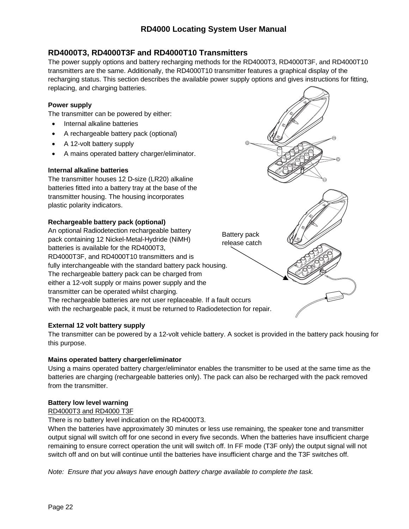## <span id="page-21-0"></span>**RD4000T3, RD4000T3F and RD4000T10 Transmitters**

The power supply options and battery recharging methods for the RD4000T3, RD4000T3F, and RD4000T10 transmitters are the same. Additionally, the RD4000T10 transmitter features a graphical display of the recharging status. This section describes the available power supply options and gives instructions for fitting, replacing, and charging batteries.

### **Power supply**

The transmitter can be powered by either:

- Internal alkaline batteries
- A rechargeable battery pack (optional)
- A 12-volt battery supply
- A mains operated battery charger/eliminator.

### **Internal alkaline batteries**

The transmitter houses 12 D-size (LR20) alkaline batteries fitted into a battery tray at the base of the transmitter housing. The housing incorporates plastic polarity indicators.

### **Rechargeable battery pack (optional)**

An optional Radiodetection rechargeable battery pack containing 12 Nickel-Metal-Hydride (NiMH) batteries is available for the RD4000T3, RD4000T3F, and RD4000T10 transmitters and is fully interchangeable with the standard battery pack housing. The rechargeable battery pack can be charged from either a 12-volt supply or mains power supply and the transmitter can be operated whilst charging. The rechargeable batteries are not user replaceable. If a fault occurs with the rechargeable pack, it must be returned to Radiodetection for repair. Battery pack release catch

### **External 12 volt battery supply**

The transmitter can be powered by a 12-volt vehicle battery. A socket is provided in the battery pack housing for this purpose.

### **Mains operated battery charger/eliminator**

Using a mains operated battery charger/eliminator enables the transmitter to be used at the same time as the batteries are charging (rechargeable batteries only). The pack can also be recharged with the pack removed from the transmitter.

### **Battery low level warning**

### RD4000T3 and RD4000 T3F

There is no battery level indication on the RD4000T3.

When the batteries have approximately 30 minutes or less use remaining, the speaker tone and transmitter output signal will switch off for one second in every five seconds. When the batteries have insufficient charge remaining to ensure correct operation the unit will switch off. In FF mode (T3F only) the output signal will not switch off and on but will continue until the batteries have insufficient charge and the T3F switches off.

*Note: Ensure that you always have enough battery charge available to complete the task.*

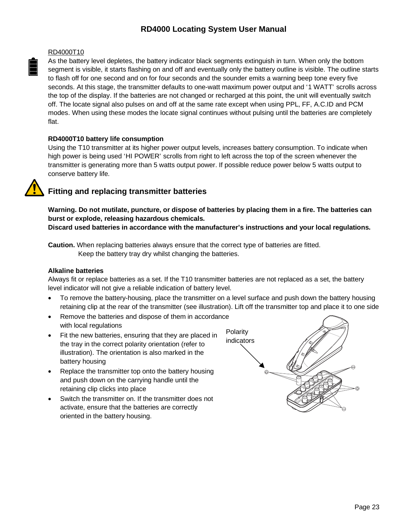#### <span id="page-22-0"></span>RD4000T10

As the battery level depletes, the battery indicator black segments extinguish in turn. When only the bottom segment is visible, it starts flashing on and off and eventually only the battery outline is visible. The outline starts to flash off for one second and on for four seconds and the sounder emits a warning beep tone every five seconds. At this stage, the transmitter defaults to one-watt maximum power output and '1 WATT' scrolls across the top of the display. If the batteries are not changed or recharged at this point, the unit will eventually switch off. The locate signal also pulses on and off at the same rate except when using PPL, FF, A.C.ID and PCM modes. When using these modes the locate signal continues without pulsing until the batteries are completely flat.

### **RD4000T10 battery life consumption**

Using the T10 transmitter at its higher power output levels, increases battery consumption. To indicate when high power is being used 'HI POWER' scrolls from right to left across the top of the screen whenever the transmitter is generating more than 5 watts output power. If possible reduce power below 5 watts output to conserve battery life.

## **Fitting and replacing transmitter batteries**

**Warning. Do not mutilate, puncture, or dispose of batteries by placing them in a fire. The batteries can burst or explode, releasing hazardous chemicals.**

**Discard used batteries in accordance with the manufacturer's instructions and your local regulations.**

**Caution.** When replacing batteries always ensure that the correct type of batteries are fitted. Keep the battery tray dry whilst changing the batteries.

### **Alkaline batteries**

Always fit or replace batteries as a set. If the T10 transmitter batteries are not replaced as a set, the battery level indicator will not give a reliable indication of battery level.

- To remove the battery-housing, place the transmitter on a level surface and push down the battery housing retaining clip at the rear of the transmitter (see illustration). Lift off the transmitter top and place it to one side
- Remove the batteries and dispose of them in accordance with local regulations
- Fit the new batteries, ensuring that they are placed in the tray in the correct polarity orientation (refer to illustration). The orientation is also marked in the battery housing
- Replace the transmitter top onto the battery housing and push down on the carrying handle until the retaining clip clicks into place
- Switch the transmitter on. If the transmitter does not activate, ensure that the batteries are correctly oriented in the battery housing.

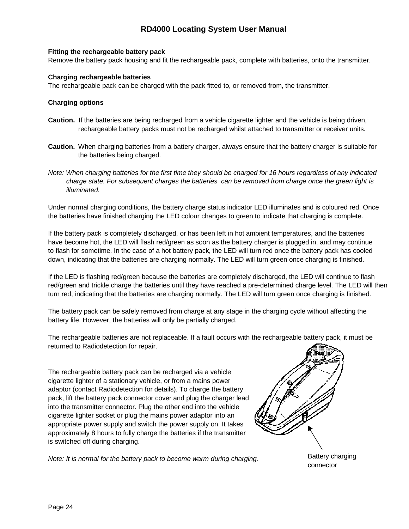### <span id="page-23-0"></span>**Fitting the rechargeable battery pack**

Remove the battery pack housing and fit the rechargeable pack, complete with batteries, onto the transmitter.

### **Charging rechargeable batteries**

The rechargeable pack can be charged with the pack fitted to, or removed from, the transmitter.

### **Charging options**

- **Caution.** If the batteries are being recharged from a vehicle cigarette lighter and the vehicle is being driven, rechargeable battery packs must not be recharged whilst attached to transmitter or receiver units.
- **Caution.** When charging batteries from a battery charger, always ensure that the battery charger is suitable for the batteries being charged.
- *Note: When charging batteries for the first time they should be charged for 16 hours regardless of any indicated charge state. For subsequent charges the batteries can be removed from charge once the green light is illuminated.*

Under normal charging conditions, the battery charge status indicator LED illuminates and is coloured red. Once the batteries have finished charging the LED colour changes to green to indicate that charging is complete.

If the battery pack is completely discharged, or has been left in hot ambient temperatures, and the batteries have become hot, the LED will flash red/green as soon as the battery charger is plugged in, and may continue to flash for sometime. In the case of a hot battery pack, the LED will turn red once the battery pack has cooled down, indicating that the batteries are charging normally. The LED will turn green once charging is finished.

If the LED is flashing red/green because the batteries are completely discharged, the LED will continue to flash red/green and trickle charge the batteries until they have reached a pre-determined charge level. The LED will then turn red, indicating that the batteries are charging normally. The LED will turn green once charging is finished.

The battery pack can be safely removed from charge at any stage in the charging cycle without affecting the battery life. However, the batteries will only be partially charged.

The rechargeable batteries are not replaceable. If a fault occurs with the rechargeable battery pack, it must be returned to Radiodetection for repair.

The rechargeable battery pack can be recharged via a vehicle cigarette lighter of a stationary vehicle, or from a mains power adaptor (contact Radiodetection for details). To charge the battery pack, lift the battery pack connector cover and plug the charger lead into the transmitter connector. Plug the other end into the vehicle cigarette lighter socket or plug the mains power adaptor into an appropriate power supply and switch the power supply on. It takes approximately 8 hours to fully charge the batteries if the transmitter is switched off during charging.

*Note: It is normal for the battery pack to become warm during charging.* Battery charging

connector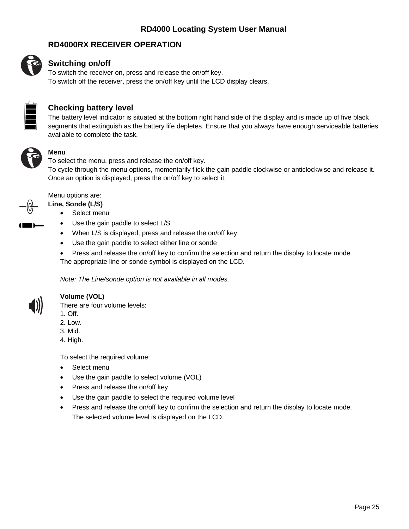### **RD4000RX RECEIVER OPERATION**

<span id="page-24-0"></span>

### **Switching on/off**

To switch the receiver on, press and release the on/off key. To switch off the receiver, press the on/off key until the LCD display clears.



### **Checking battery level**

The battery level indicator is situated at the bottom right hand side of the display and is made up of five black segments that extinguish as the battery life depletes. Ensure that you always have enough serviceable batteries available to complete the task.



### **Menu**

To select the menu, press and release the on/off key. To cycle through the menu options, momentarily flick the gain paddle clockwise or anticlockwise and release it. Once an option is displayed, press the on/off key to select it.



#### Menu options are:

#### **Line, Sonde (L/S)**

- Select menu
- Use the gain paddle to select L/S
- When L/S is displayed, press and release the on/off key
- Use the gain paddle to select either line or sonde
- Press and release the on/off key to confirm the selection and return the display to locate mode The appropriate line or sonde symbol is displayed on the LCD.

*Note: The Line/sonde option is not available in all modes.*



### **Volume (VOL)**

There are four volume levels:

- 1. Off.
- 2. Low.
- 3. Mid.
- 4. High.

To select the required volume:

- Select menu
- Use the gain paddle to select volume (VOL)
- Press and release the on/off key
- Use the gain paddle to select the required volume level
- Press and release the on/off key to confirm the selection and return the display to locate mode. The selected volume level is displayed on the LCD.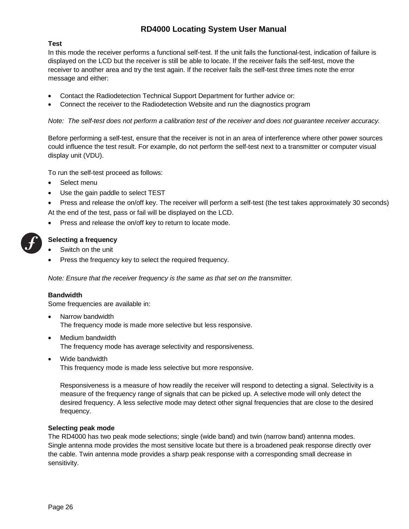### <span id="page-25-0"></span>**Test**

In this mode the receiver performs a functional self-test. If the unit fails the functional-test, indication of failure is displayed on the LCD but the receiver is still be able to locate. If the receiver fails the self-test, move the receiver to another area and try the test again. If the receiver fails the self-test three times note the error message and either:

- Contact the Radiodetection Technical Support Department for further advice or:
- Connect the receiver to the Radiodetection Website and run the diagnostics program

*Note: The self-test does not perform a calibration test of the receiver and does not guarantee receiver accuracy.*

Before performing a self-test, ensure that the receiver is not in an area of interference where other power sources could influence the test result. For example, do not perform the self-test next to a transmitter or computer visual display unit (VDU).

To run the self-test proceed as follows:

- Select menu
- Use the gain paddle to select TEST
- Press and release the on/off key. The receiver will perform a self-test (the test takes approximately 30 seconds) At the end of the test, pass or fail will be displayed on the LCD.
- Press and release the on/off key to return to locate mode.



### **Selecting a frequency**

- Switch on the unit
- Press the frequency key to select the required frequency.

*Note: Ensure that the receiver frequency is the same as that set on the transmitter.*

#### **Bandwidth**

Some frequencies are available in:

- Narrow bandwidth The frequency mode is made more selective but less responsive.
- Medium bandwidth The frequency mode has average selectivity and responsiveness.
- Wide bandwidth This frequency mode is made less selective but more responsive.

Responsiveness is a measure of how readily the receiver will respond to detecting a signal. Selectivity is a measure of the frequency range of signals that can be picked up. A selective mode will only detect the desired frequency. A less selective mode may detect other signal frequencies that are close to the desired frequency.

#### **Selecting peak mode**

The RD4000 has two peak mode selections; single (wide band) and twin (narrow band) antenna modes. Single antenna mode provides the most sensitive locate but there is a broadened peak response directly over the cable. Twin antenna mode provides a sharp peak response with a corresponding small decrease in sensitivity.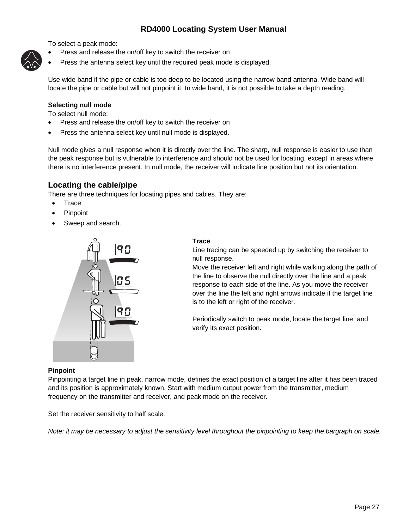<span id="page-26-0"></span>To select a peak mode:

- Press and release the on/off key to switch the receiver on
- Press the antenna select key until the required peak mode is displayed.

Use wide band if the pipe or cable is too deep to be located using the narrow band antenna. Wide band will locate the pipe or cable but will not pinpoint it. In wide band, it is not possible to take a depth reading.

### **Selecting null mode**

To select null mode:

- Press and release the on/off key to switch the receiver on
- Press the antenna select key until null mode is displayed.

Null mode gives a null response when it is directly over the line. The sharp, null response is easier to use than the peak response but is vulnerable to interference and should not be used for locating, except in areas where there is no interference present. In null mode, the receiver will indicate line position but not its orientation.

### **Locating the cable/pipe**

There are three techniques for locating pipes and cables. They are:

- Trace
- **Pinpoint**
- Sweep and search.



### **Trace**

Line tracing can be speeded up by switching the receiver to null response.

Move the receiver left and right while walking along the path of the line to observe the null directly over the line and a peak response to each side of the line. As you move the receiver over the line the left and right arrows indicate if the target line is to the left or right of the receiver.

Periodically switch to peak mode, locate the target line, and verify its exact position.

### **Pinpoint**

Pinpointing a target line in peak, narrow mode, defines the exact position of a target line after it has been traced and its position is approximately known. Start with medium output power from the transmitter, medium frequency on the transmitter and receiver, and peak mode on the receiver.

Set the receiver sensitivity to half scale.

*Note: it may be necessary to adjust the sensitivity level throughout the pinpointing to keep the bargraph on scale.*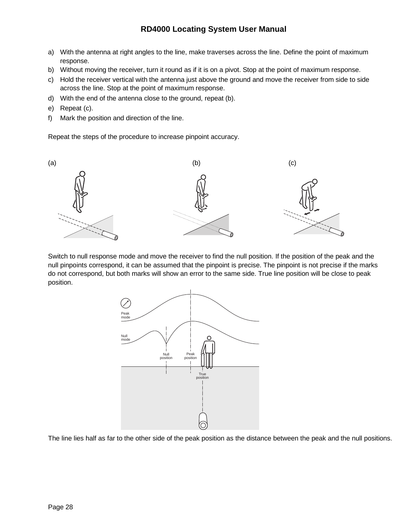- a) With the antenna at right angles to the line, make traverses across the line. Define the point of maximum response.
- b) Without moving the receiver, turn it round as if it is on a pivot. Stop at the point of maximum response.
- c) Hold the receiver vertical with the antenna just above the ground and move the receiver from side to side across the line. Stop at the point of maximum response.
- d) With the end of the antenna close to the ground, repeat (b).
- e) Repeat (c).
- f) Mark the position and direction of the line.

Repeat the steps of the procedure to increase pinpoint accuracy.



Switch to null response mode and move the receiver to find the null position. If the position of the peak and the null pinpoints correspond, it can be assumed that the pinpoint is precise. The pinpoint is not precise if the marks do not correspond, but both marks will show an error to the same side. True line position will be close to peak position.



The line lies half as far to the other side of the peak position as the distance between the peak and the null positions.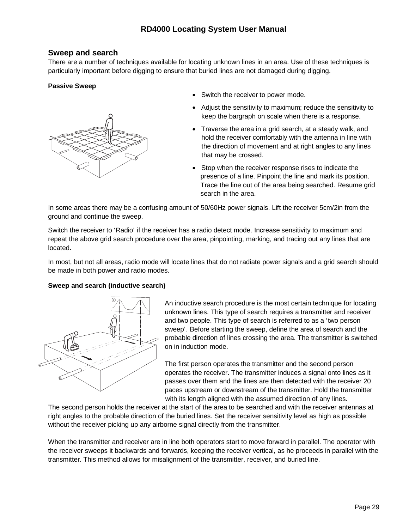### <span id="page-28-0"></span>**Sweep and search**

There are a number of techniques available for locating unknown lines in an area. Use of these techniques is particularly important before digging to ensure that buried lines are not damaged during digging.

### **Passive Sweep**



- Switch the receiver to power mode.
- Adjust the sensitivity to maximum; reduce the sensitivity to keep the bargraph on scale when there is a response.
- Traverse the area in a grid search, at a steady walk, and hold the receiver comfortably with the antenna in line with the direction of movement and at right angles to any lines that may be crossed.
- Stop when the receiver response rises to indicate the presence of a line. Pinpoint the line and mark its position. Trace the line out of the area being searched. Resume grid search in the area.

In some areas there may be a confusing amount of 50/60Hz power signals. Lift the receiver 5cm/2in from the ground and continue the sweep.

Switch the receiver to 'Radio' if the receiver has a radio detect mode. Increase sensitivity to maximum and repeat the above grid search procedure over the area, pinpointing, marking, and tracing out any lines that are located.

In most, but not all areas, radio mode will locate lines that do not radiate power signals and a grid search should be made in both power and radio modes.

#### **Sweep and search (inductive search)**



An inductive search procedure is the most certain technique for locating unknown lines. This type of search requires a transmitter and receiver and two people. This type of search is referred to as a 'two person sweep'. Before starting the sweep, define the area of search and the probable direction of lines crossing the area. The transmitter is switched on in induction mode.

The first person operates the transmitter and the second person operates the receiver. The transmitter induces a signal onto lines as it passes over them and the lines are then detected with the receiver 20 paces upstream or downstream of the transmitter. Hold the transmitter with its length aligned with the assumed direction of any lines.

The second person holds the receiver at the start of the area to be searched and with the receiver antennas at right angles to the probable direction of the buried lines. Set the receiver sensitivity level as high as possible without the receiver picking up any airborne signal directly from the transmitter.

When the transmitter and receiver are in line both operators start to move forward in parallel. The operator with the receiver sweeps it backwards and forwards, keeping the receiver vertical, as he proceeds in parallel with the transmitter. This method allows for misalignment of the transmitter, receiver, and buried line.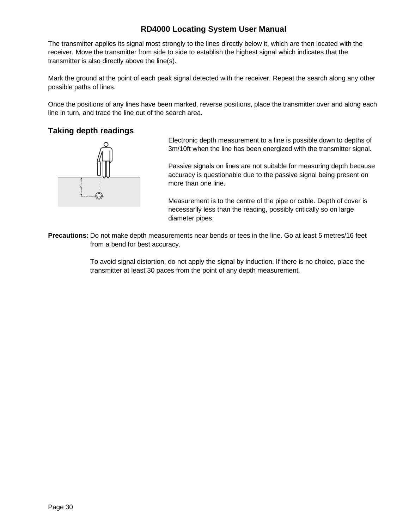<span id="page-29-0"></span>The transmitter applies its signal most strongly to the lines directly below it, which are then located with the receiver. Move the transmitter from side to side to establish the highest signal which indicates that the transmitter is also directly above the line(s).

Mark the ground at the point of each peak signal detected with the receiver. Repeat the search along any other possible paths of lines.

Once the positions of any lines have been marked, reverse positions, place the transmitter over and along each line in turn, and trace the line out of the search area.

### **Taking depth readings**



Electronic depth measurement to a line is possible down to depths of 3m/10ft when the line has been energized with the transmitter signal.

Passive signals on lines are not suitable for measuring depth because accuracy is questionable due to the passive signal being present on more than one line.

Measurement is to the centre of the pipe or cable. Depth of cover is necessarily less than the reading, possibly critically so on large diameter pipes.

**Precautions:** Do not make depth measurements near bends or tees in the line. Go at least 5 metres/16 feet from a bend for best accuracy.

> To avoid signal distortion, do not apply the signal by induction. If there is no choice, place the transmitter at least 30 paces from the point of any depth measurement.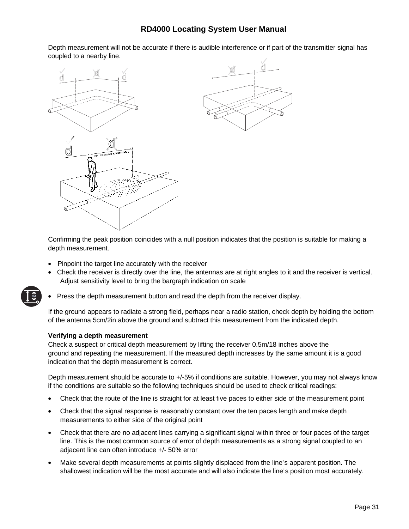<span id="page-30-0"></span>Depth measurement will not be accurate if there is audible interference or if part of the transmitter signal has coupled to a nearby line.



Confirming the peak position coincides with a null position indicates that the position is suitable for making a depth measurement.

- Pinpoint the target line accurately with the receiver
- Check the receiver is directly over the line, the antennas are at right angles to it and the receiver is vertical. Adjust sensitivity level to bring the bargraph indication on scale
- Press the depth measurement button and read the depth from the receiver display.

If the ground appears to radiate a strong field, perhaps near a radio station, check depth by holding the bottom of the antenna 5cm/2in above the ground and subtract this measurement from the indicated depth.

#### **Verifying a depth measurement**

**mA**

Check a suspect or critical depth measurement by lifting the receiver 0.5m/18 inches above the ground and repeating the measurement. If the measured depth increases by the same amount it is a good indication that the depth measurement is correct.

Depth measurement should be accurate to +/-5% if conditions are suitable. However, you may not always know if the conditions are suitable so the following techniques should be used to check critical readings:

- Check that the route of the line is straight for at least five paces to either side of the measurement point
- Check that the signal response is reasonably constant over the ten paces length and make depth measurements to either side of the original point
- Check that there are no adjacent lines carrying a significant signal within three or four paces of the target line. This is the most common source of error of depth measurements as a strong signal coupled to an adjacent line can often introduce +/- 50% error
- Make several depth measurements at points slightly displaced from the line's apparent position. The shallowest indication will be the most accurate and will also indicate the line's position most accurately.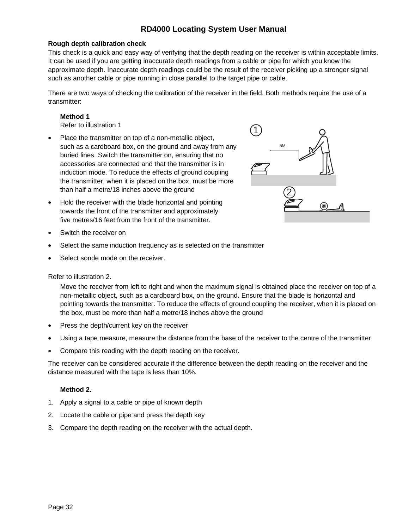### <span id="page-31-0"></span>**Rough depth calibration check**

This check is a quick and easy way of verifying that the depth reading on the receiver is within acceptable limits. It can be used if you are getting inaccurate depth readings from a cable or pipe for which you know the approximate depth. Inaccurate depth readings could be the result of the receiver picking up a stronger signal such as another cable or pipe running in close parallel to the target pipe or cable.

There are two ways of checking the calibration of the receiver in the field. Both methods require the use of a transmitter:

#### **Method 1**

Refer to illustration 1

- Place the transmitter on top of a non-metallic object, such as a cardboard box, on the ground and away from any buried lines. Switch the transmitter on, ensuring that no accessories are connected and that the transmitter is in induction mode. To reduce the effects of ground coupling the transmitter, when it is placed on the box, must be more than half a metre/18 inches above the ground
- Hold the receiver with the blade horizontal and pointing towards the front of the transmitter and approximately five metres/16 feet from the front of the transmitter.
- 5M 1 2

- Switch the receiver on
- Select the same induction frequency as is selected on the transmitter
- Select sonde mode on the receiver.

#### Refer to illustration 2.

Move the receiver from left to right and when the maximum signal is obtained place the receiver on top of a non-metallic object, such as a cardboard box, on the ground. Ensure that the blade is horizontal and pointing towards the transmitter. To reduce the effects of ground coupling the receiver, when it is placed on the box, must be more than half a metre/18 inches above the ground

- Press the depth/current key on the receiver
- Using a tape measure, measure the distance from the base of the receiver to the centre of the transmitter
- Compare this reading with the depth reading on the receiver.

The receiver can be considered accurate if the difference between the depth reading on the receiver and the distance measured with the tape is less than 10%.

### **Method 2.**

- 1. Apply a signal to a cable or pipe of known depth
- 2. Locate the cable or pipe and press the depth key
- 3. Compare the depth reading on the receiver with the actual depth.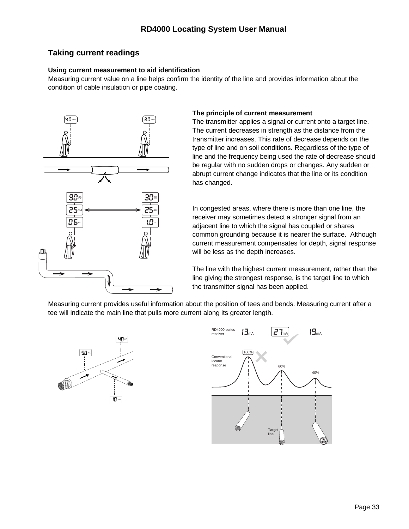## <span id="page-32-0"></span>**Taking current readings**

### **Using current measurement to aid identification**

Measuring current value on a line helps confirm the identity of the line and provides information about the condition of cable insulation or pipe coating.



### **The principle of current measurement**

The transmitter applies a signal or current onto a target line. The current decreases in strength as the distance from the transmitter increases. This rate of decrease depends on the type of line and on soil conditions. Regardless of the type of line and the frequency being used the rate of decrease should be regular with no sudden drops or changes. Any sudden or abrupt current change indicates that the line or its condition has changed.

In congested areas, where there is more than one line, the receiver may sometimes detect a stronger signal from an adjacent line to which the signal has coupled or shares common grounding because it is nearer the surface. Although current measurement compensates for depth, signal response will be less as the depth increases.

The line with the highest current measurement, rather than the line giving the strongest response, is the target line to which the transmitter signal has been applied.

Measuring current provides useful information about the position of tees and bends. Measuring current after a tee will indicate the main line that pulls more current along its greater length.



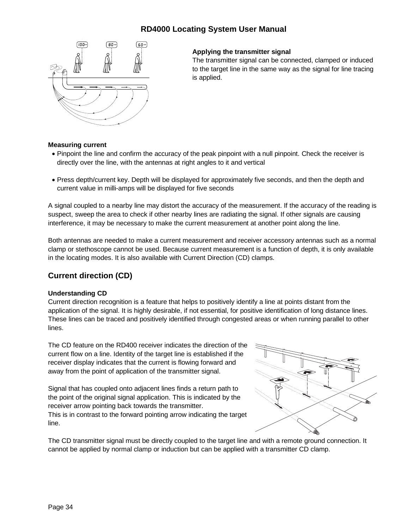<span id="page-33-0"></span>

### **Applying the transmitter signal**

The transmitter signal can be connected, clamped or induced to the target line in the same way as the signal for line tracing is applied.

### **Measuring current**

- Pinpoint the line and confirm the accuracy of the peak pinpoint with a null pinpoint. Check the receiver is directly over the line, with the antennas at right angles to it and vertical
- Press depth/current key. Depth will be displayed for approximately five seconds, and then the depth and current value in milli-amps will be displayed for five seconds

A signal coupled to a nearby line may distort the accuracy of the measurement. If the accuracy of the reading is suspect, sweep the area to check if other nearby lines are radiating the signal. If other signals are causing interference, it may be necessary to make the current measurement at another point along the line.

Both antennas are needed to make a current measurement and receiver accessory antennas such as a normal clamp or stethoscope cannot be used. Because current measurement is a function of depth, it is only available in the locating modes. It is also available with Current Direction (CD) clamps.

### **Current direction (CD)**

#### **Understanding CD**

Current direction recognition is a feature that helps to positively identify a line at points distant from the application of the signal. It is highly desirable, if not essential, for positive identification of long distance lines. These lines can be traced and positively identified through congested areas or when running parallel to other lines.

The CD feature on the RD400 receiver indicates the direction of the current flow on a line. Identity of the target line is established if the receiver display indicates that the current is flowing forward and away from the point of application of the transmitter signal.

Signal that has coupled onto adjacent lines finds a return path to the point of the original signal application. This is indicated by the receiver arrow pointing back towards the transmitter. This is in contrast to the forward pointing arrow indicating the target line.



The CD transmitter signal must be directly coupled to the target line and with a remote ground connection. It cannot be applied by normal clamp or induction but can be applied with a transmitter CD clamp.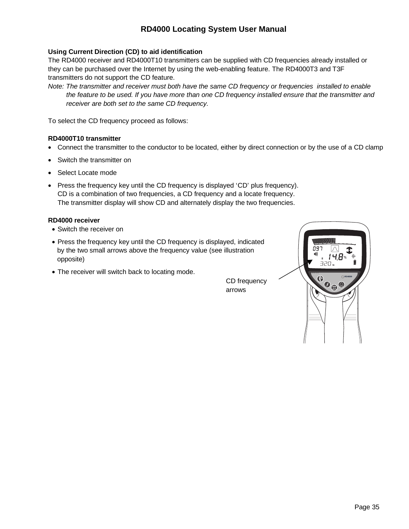### <span id="page-34-0"></span>**Using Current Direction (CD) to aid identification**

The RD4000 receiver and RD4000T10 transmitters can be supplied with CD frequencies already installed or they can be purchased over the Internet by using the web-enabling feature. The RD4000T3 and T3F transmitters do not support the CD feature.

*Note: The transmitter and receiver must both have the same CD frequency or frequencies installed to enable the feature to be used. If you have more than one CD frequency installed ensure that the transmitter and receiver are both set to the same CD frequency.*

To select the CD frequency proceed as follows:

### **RD4000T10 transmitter**

- Connect the transmitter to the conductor to be located, either by direct connection or by the use of a CD clamp
- Switch the transmitter on
- Select Locate mode
- Press the frequency key until the CD frequency is displayed 'CD' plus frequency). CD is a combination of two frequencies, a CD frequency and a locate frequency. The transmitter display will show CD and alternately display the two frequencies.

### **RD4000 receiver**

- Switch the receiver on
- Press the frequency key until the CD frequency is displayed, indicated by the two small arrows above the frequency value (see illustration opposite)
- The receiver will switch back to locating mode.

CD frequency arrows

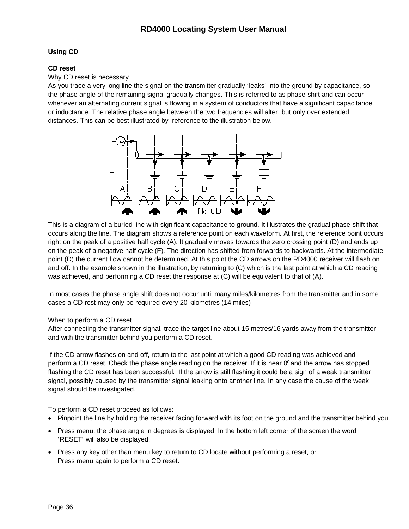### <span id="page-35-0"></span>**Using CD**

### **CD reset**

### Why CD reset is necessary

As you trace a very long line the signal on the transmitter gradually 'leaks' into the ground by capacitance, so the phase angle of the remaining signal gradually changes. This is referred to as phase-shift and can occur whenever an alternating current signal is flowing in a system of conductors that have a significant capacitance or inductance. The relative phase angle between the two frequencies will alter, but only over extended distances. This can be best illustrated by reference to the illustration below.



This is a diagram of a buried line with significant capacitance to ground. It illustrates the gradual phase-shift that occurs along the line. The diagram shows a reference point on each waveform. At first, the reference point occurs right on the peak of a positive half cycle (A). It gradually moves towards the zero crossing point (D) and ends up on the peak of a negative half cycle (F). The direction has shifted from forwards to backwards. At the intermediate point (D) the current flow cannot be determined. At this point the CD arrows on the RD4000 receiver will flash on and off. In the example shown in the illustration, by returning to (C) which is the last point at which a CD reading was achieved, and performing a CD reset the response at (C) will be equivalent to that of (A).

In most cases the phase angle shift does not occur until many miles/kilometres from the transmitter and in some cases a CD rest may only be required every 20 kilometres (14 miles)

### When to perform a CD reset

After connecting the transmitter signal, trace the target line about 15 metres/16 yards away from the transmitter and with the transmitter behind you perform a CD reset.

If the CD arrow flashes on and off, return to the last point at which a good CD reading was achieved and perform a CD reset. Check the phase angle reading on the receiver. If it is near  $0^{\circ}$  and the arrow has stopped flashing the CD reset has been successful. If the arrow is still flashing it could be a sign of a weak transmitter signal, possibly caused by the transmitter signal leaking onto another line. In any case the cause of the weak signal should be investigated.

To perform a CD reset proceed as follows:

- Pinpoint the line by holding the receiver facing forward with its foot on the ground and the transmitter behind you.
- Press menu, the phase angle in degrees is displayed. In the bottom left corner of the screen the word 'RESET' will also be displayed.
- Press any key other than menu key to return to CD locate without performing a reset, or Press menu again to perform a CD reset.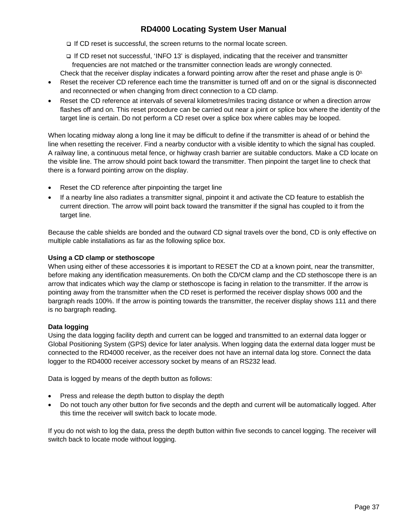If CD reset is successful, the screen returns to the normal locate screen.

 If CD reset not successful, 'INFO 13' is displayed, indicating that the receiver and transmitter frequencies are not matched or the transmitter connection leads are wrongly connected.

- Check that the receiver display indicates a forward pointing arrow after the reset and phase angle is  $0^0$ .
- Reset the receiver CD reference each time the transmitter is turned off and on or the signal is disconnected and reconnected or when changing from direct connection to a CD clamp.
- Reset the CD reference at intervals of several kilometres/miles tracing distance or when a direction arrow flashes off and on. This reset procedure can be carried out near a joint or splice box where the identity of the target line is certain. Do not perform a CD reset over a splice box where cables may be looped.

When locating midway along a long line it may be difficult to define if the transmitter is ahead of or behind the line when resetting the receiver. Find a nearby conductor with a visible identity to which the signal has coupled. A railway line, a continuous metal fence, or highway crash barrier are suitable conductors. Make a CD locate on the visible line. The arrow should point back toward the transmitter. Then pinpoint the target line to check that there is a forward pointing arrow on the display.

- Reset the CD reference after pinpointing the target line
- If a nearby line also radiates a transmitter signal, pinpoint it and activate the CD feature to establish the current direction. The arrow will point back toward the transmitter if the signal has coupled to it from the target line.

Because the cable shields are bonded and the outward CD signal travels over the bond, CD is only effective on multiple cable installations as far as the following splice box.

# **Using a CD clamp or stethoscope**

When using either of these accessories it is important to RESET the CD at a known point, near the transmitter, before making any identification measurements. On both the CD/CM clamp and the CD stethoscope there is an arrow that indicates which way the clamp or stethoscope is facing in relation to the transmitter. If the arrow is pointing away from the transmitter when the CD reset is performed the receiver display shows 000 and the bargraph reads 100%. If the arrow is pointing towards the transmitter, the receiver display shows 111 and there is no bargraph reading.

# **Data logging**

Using the data logging facility depth and current can be logged and transmitted to an external data logger or Global Positioning System (GPS) device for later analysis. When logging data the external data logger must be connected to the RD4000 receiver, as the receiver does not have an internal data log store. Connect the data logger to the RD4000 receiver accessory socket by means of an RS232 lead.

Data is logged by means of the depth button as follows:

- Press and release the depth button to display the depth
- Do not touch any other button for five seconds and the depth and current will be automatically logged. After this time the receiver will switch back to locate mode.

If you do not wish to log the data, press the depth button within five seconds to cancel logging. The receiver will switch back to locate mode without logging.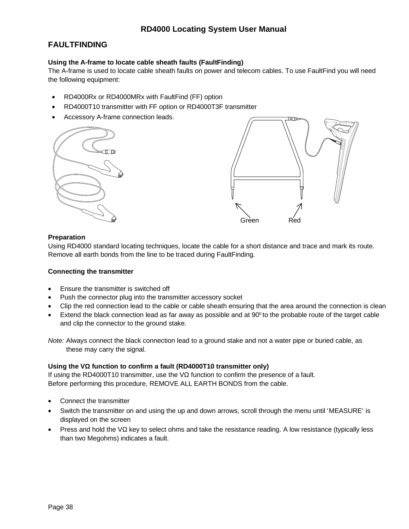# **FAULTFINDING**

### **Using the A-frame to locate cable sheath faults (FaultFinding)**

The A-frame is used to locate cable sheath faults on power and telecom cables. To use FaultFind you will need the following equipment:

- RD4000Rx or RD4000MRx with FaultFind (FF) option
- RD4000T10 transmitter with FF option or RD4000T3F transmitter
- Accessory A-frame connection leads.





### **Preparation**

Using RD4000 standard locating techniques, locate the cable for a short distance and trace and mark its route. Remove all earth bonds from the line to be traced during FaultFinding.

#### **Connecting the transmitter**

- Ensure the transmitter is switched off
- Push the connector plug into the transmitter accessory socket
- Clip the red connection lead to the cable or cable sheath ensuring that the area around the connection is clean
- Extend the black connection lead as far away as possible and at  $90^{\circ}$  to the probable route of the target cable and clip the connector to the ground stake.

*Note:* Always connect the black connection lead to a ground stake and not a water pipe or buried cable, as these may carry the signal.

#### **Using the V function to confirm a fault (RD4000T10 transmitter only)**

If using the RD4000T10 transmitter, use the V function to confirm the presence of a fault. Before performing this procedure, REMOVE ALL EARTH BONDS from the cable.

- Connect the transmitter
- Switch the transmitter on and using the up and down arrows, scroll through the menu until 'MEASURE' is displayed on the screen
- Press and hold the V key to select ohms and take the resistance reading. A low resistance (typically less than two Megohms) indicates a fault.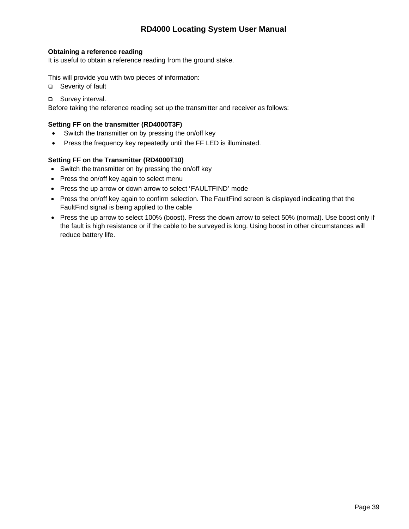### **Obtaining a reference reading**

It is useful to obtain a reference reading from the ground stake.

This will provide you with two pieces of information:

□ Severity of fault

□ Survey interval.

Before taking the reference reading set up the transmitter and receiver as follows:

### **Setting FF on the transmitter (RD4000T3F)**

- Switch the transmitter on by pressing the on/off key
- Press the frequency key repeatedly until the FF LED is illuminated.

### **Setting FF on the Transmitter (RD4000T10)**

- Switch the transmitter on by pressing the on/off key
- Press the on/off key again to select menu
- Press the up arrow or down arrow to select 'FAULTFIND' mode
- Press the on/off key again to confirm selection. The FaultFind screen is displayed indicating that the FaultFind signal is being applied to the cable
- Press the up arrow to select 100% (boost). Press the down arrow to select 50% (normal). Use boost only if the fault is high resistance or if the cable to be surveyed is long. Using boost in other circumstances will reduce battery life.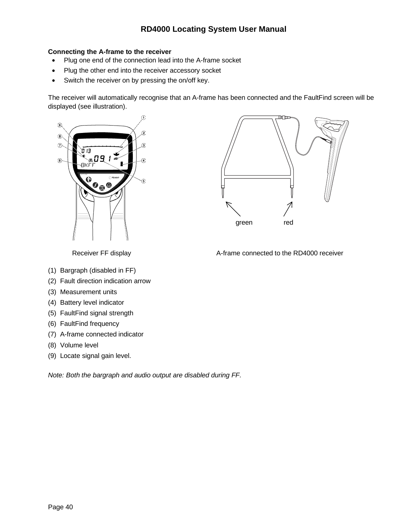# **Connecting the A-frame to the receiver**

- Plug one end of the connection lead into the A-frame socket
- Plug the other end into the receiver accessory socket
- Switch the receiver on by pressing the on/off key.

The receiver will automatically recognise that an A-frame has been connected and the FaultFind screen will be displayed (see illustration).





Receiver FF display **A-frame connected to the RD4000 receiver** 

- (1) Bargraph (disabled in FF)
- (2) Fault direction indication arrow
- (3) Measurement units
- (4) Battery level indicator
- (5) FaultFind signal strength
- (6) FaultFind frequency
- (7) A-frame connected indicator
- (8) Volume level
- (9) Locate signal gain level.

*Note: Both the bargraph and audio output are disabled during FF.*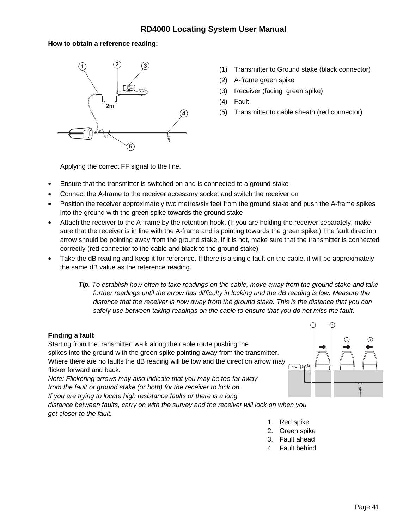# **How to obtain a reference reading:**



- (1) Transmitter to Ground stake (black connector)
- (2) A-frame green spike
- (3) Receiver (facing green spike)
- (4) Fault
- (5) Transmitter to cable sheath (red connector)

Applying the correct FF signal to the line.

- Ensure that the transmitter is switched on and is connected to a ground stake
- Connect the A-frame to the receiver accessory socket and switch the receiver on
- Position the receiver approximately two metres/six feet from the ground stake and push the A-frame spikes into the ground with the green spike towards the ground stake
- Attach the receiver to the A-frame by the retention hook. (If you are holding the receiver separately, make sure that the receiver is in line with the A-frame and is pointing towards the green spike.) The fault direction arrow should be pointing away from the ground stake. If it is not, make sure that the transmitter is connected correctly (red connector to the cable and black to the ground stake)
- Take the dB reading and keep it for reference. If there is a single fault on the cable, it will be approximately the same dB value as the reference reading.
	- *Tip. To establish how often to take readings on the cable, move away from the ground stake and take further readings until the arrow has difficulty in locking and the dB reading is low. Measure the distance that the receiver is now away from the ground stake. This is the distance that you can safely use between taking readings on the cable to ensure that you do not miss the fault.*

# **Finding a fault**

Starting from the transmitter, walk along the cable route pushing the spikes into the ground with the green spike pointing away from the transmitter. Where there are no faults the dB reading will be low and the direction arrow may flicker forward and back.

*Note: Flickering arrows may also indicate that you may be too far away from the fault or ground stake (or both) for the receiver to lock on. If you are trying to locate high resistance faults or there is a long*

*distance between faults, carry on with the survey and the receiver will lock on when you get closer to the fault.*

- (2) 3 4
- 1. Red spike
- 2. Green spike
- 3. Fault ahead
- 4. Fault behind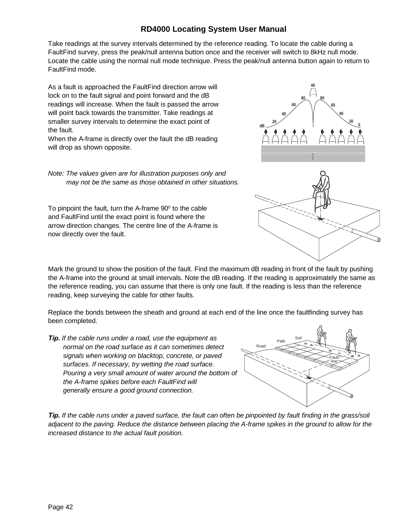Take readings at the survey intervals determined by the reference reading. To locate the cable during a FaultFind survey, press the peak/null antenna button once and the receiver will switch to 8kHz null mode. Locate the cable using the normal null mode technique. Press the peak/null antenna button again to return to FaultFind mode.

As a fault is approached the FaultFind direction arrow will lock on to the fault signal and point forward and the dB readings will increase. When the fault is passed the arrow will point back towards the transmitter. Take readings at smaller survey intervals to determine the exact point of the fault.

When the A-frame is directly over the fault the dB reading will drop as shown opposite.

*Note: The values given are for illustration purposes only and may not be the same as those obtained in other situations.*

To pinpoint the fault, turn the A-frame  $90^\circ$  to the cable and FaultFind until the exact point is found where the arrow direction changes. The centre line of the A-frame is now directly over the fault.

Mark the ground to show the position of the fault. Find the maximum dB reading in front of the fault by pushing the A-frame into the ground at small intervals. Note the dB reading. If the reading is approximately the same as the reference reading, you can assume that there is only one fault. If the reading is less than the reference reading, keep surveying the cable for other faults.

Replace the bonds between the sheath and ground at each end of the line once the faultfinding survey has been completed.

*Tip. If the cable runs under a road, use the equipment as normal on the road surface as it can sometimes detect signals when working on blacktop, concrete, or paved surfaces. If necessary, try wetting the road surface. Pouring a very small amount of water around the bottom of the A-frame spikes before each FaultFind will generally ensure a good ground connection.*



*Tip. If the cable runs under a paved surface, the fault can often be pinpointed by fault finding in the grass/soil adjacent to the paving. Reduce the distance between placing the A-frame spikes in the ground to allow for the increased distance to the actual fault position.*



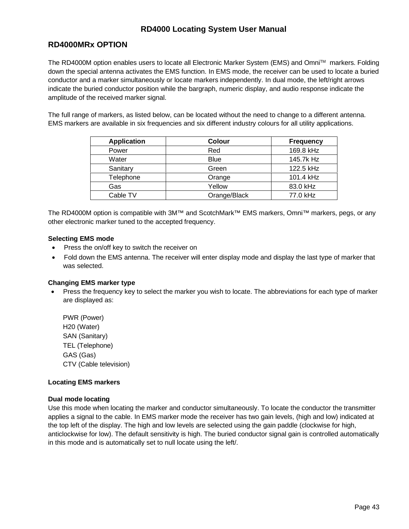# **RD4000MRx OPTION**

The RD4000M option enables users to locate all Electronic Marker System (EMS) and Omni™ markers. Folding down the special antenna activates the EMS function. In EMS mode, the receiver can be used to locate a buried conductor and a marker simultaneously or locate markers independently. In dual mode, the left/right arrows indicate the buried conductor position while the bargraph, numeric display, and audio response indicate the amplitude of the received marker signal.

The full range of markers, as listed below, can be located without the need to change to a different antenna. EMS markers are available in six frequencies and six different industry colours for all utility applications.

| <b>Application</b> | <b>Colour</b> | <b>Frequency</b> |
|--------------------|---------------|------------------|
| Power              | Red           | 169.8 kHz        |
| Water              | <b>Blue</b>   | 145.7k Hz        |
| Sanitary           | Green         | 122.5 kHz        |
| Telephone          | Orange        | 101.4 kHz        |
| Gas                | Yellow        | 83.0 kHz         |
| Cable TV           | Orange/Black  | 77.0 kHz         |

The RD4000M option is compatible with 3M™ and ScotchMark™ EMS markers, Omni™ markers, pegs, or any other electronic marker tuned to the accepted frequency.

### **Selecting EMS mode**

- Press the on/off key to switch the receiver on
- Fold down the EMS antenna. The receiver will enter display mode and display the last type of marker that was selected.

#### **Changing EMS marker type**

• Press the frequency key to select the marker you wish to locate. The abbreviations for each type of marker are displayed as:

PWR (Power) H20 (Water) SAN (Sanitary) TEL (Telephone) GAS (Gas) CTV (Cable television)

#### **Locating EMS markers**

#### **Dual mode locating**

Use this mode when locating the marker and conductor simultaneously. To locate the conductor the transmitter applies a signal to the cable. In EMS marker mode the receiver has two gain levels, (high and low) indicated at the top left of the display. The high and low levels are selected using the gain paddle (clockwise for high, anticlockwise for low). The default sensitivity is high. The buried conductor signal gain is controlled automatically in this mode and is automatically set to null locate using the left/.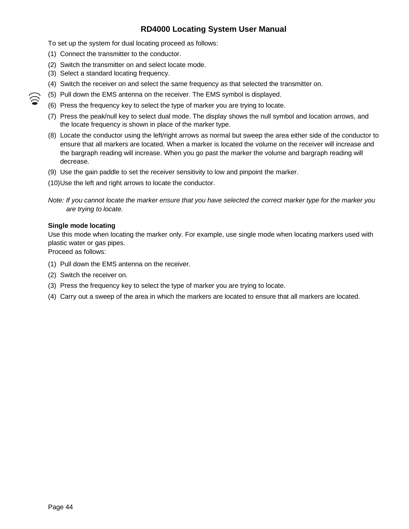To set up the system for dual locating proceed as follows:

- (1) Connect the transmitter to the conductor.
- (2) Switch the transmitter on and select locate mode.
- (3) Select a standard locating frequency.
- (4) Switch the receiver on and select the same frequency as that selected the transmitter on.
- (5) Pull down the EMS antenna on the receiver. The EMS symbol is displayed.
- (6) Press the frequency key to select the type of marker you are trying to locate.
- (7) Press the peak/null key to select dual mode. The display shows the null symbol and location arrows, and the locate frequency is shown in place of the marker type.
- (8) Locate the conductor using the left/right arrows as normal but sweep the area either side of the conductor to ensure that all markers are located. When a marker is located the volume on the receiver will increase and the bargraph reading will increase. When you go past the marker the volume and bargraph reading will decrease.
- (9) Use the gain paddle to set the receiver sensitivity to low and pinpoint the marker.
- (10)Use the left and right arrows to locate the conductor.

### **Single mode locating**

 $\sum$ 

Use this mode when locating the marker only. For example, use single mode when locating markers used with plastic water or gas pipes.

Proceed as follows:

- (1) Pull down the EMS antenna on the receiver.
- (2) Switch the receiver on.
- (3) Press the frequency key to select the type of marker you are trying to locate.
- (4) Carry out a sweep of the area in which the markers are located to ensure that all markers are located.

*Note: If you cannot locate the marker ensure that you have selected the correct marker type for the marker you are trying to locate.*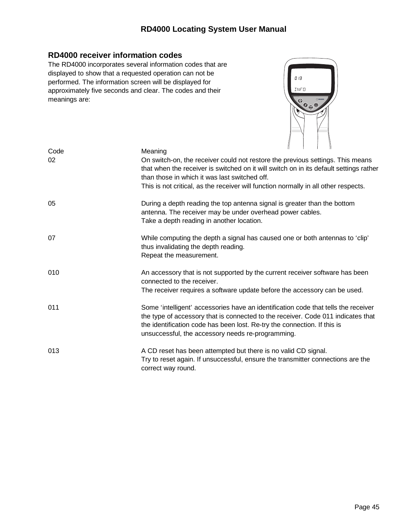# **RD4000 receiver information codes**

The RD4000 incorporates several information codes that are displayed to show that a requested operation can not be performed. The information screen will be displayed for approximately five seconds and clear. The codes and their meanings are:



| Code | Meaning                                                                                                                                                                                                                                                                                                 |
|------|---------------------------------------------------------------------------------------------------------------------------------------------------------------------------------------------------------------------------------------------------------------------------------------------------------|
| 02   | On switch-on, the receiver could not restore the previous settings. This means<br>that when the receiver is switched on it will switch on in its default settings rather<br>than those in which it was last switched off.                                                                               |
|      | This is not critical, as the receiver will function normally in all other respects.                                                                                                                                                                                                                     |
| 05   | During a depth reading the top antenna signal is greater than the bottom<br>antenna. The receiver may be under overhead power cables.<br>Take a depth reading in another location.                                                                                                                      |
| 07   | While computing the depth a signal has caused one or both antennas to 'clip'<br>thus invalidating the depth reading.<br>Repeat the measurement.                                                                                                                                                         |
| 010  | An accessory that is not supported by the current receiver software has been<br>connected to the receiver.<br>The receiver requires a software update before the accessory can be used.                                                                                                                 |
| 011  | Some 'intelligent' accessories have an identification code that tells the receiver<br>the type of accessory that is connected to the receiver. Code 011 indicates that<br>the identification code has been lost. Re-try the connection. If this is<br>unsuccessful, the accessory needs re-programming. |
| 013  | A CD reset has been attempted but there is no valid CD signal.<br>Try to reset again. If unsuccessful, ensure the transmitter connections are the<br>correct way round.                                                                                                                                 |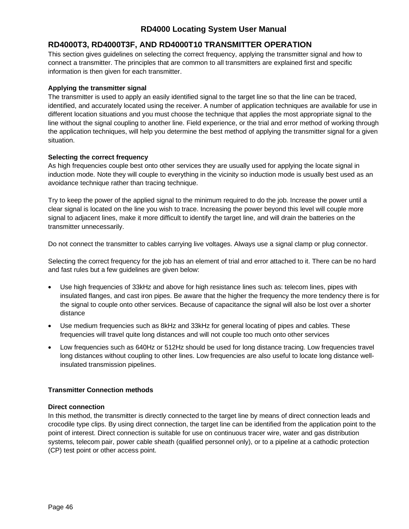# **RD4000T3, RD4000T3F, AND RD4000T10 TRANSMITTER OPERATION**

This section gives guidelines on selecting the correct frequency, applying the transmitter signal and how to connect a transmitter. The principles that are common to all transmitters are explained first and specific information is then given for each transmitter.

### **Applying the transmitter signal**

The transmitter is used to apply an easily identified signal to the target line so that the line can be traced, identified, and accurately located using the receiver. A number of application techniques are available for use in different location situations and you must choose the technique that applies the most appropriate signal to the line without the signal coupling to another line. Field experience, or the trial and error method of working through the application techniques, will help you determine the best method of applying the transmitter signal for a given situation.

### **Selecting the correct frequency**

As high frequencies couple best onto other services they are usually used for applying the locate signal in induction mode. Note they will couple to everything in the vicinity so induction mode is usually best used as an avoidance technique rather than tracing technique.

Try to keep the power of the applied signal to the minimum required to do the job. Increase the power until a clear signal is located on the line you wish to trace. Increasing the power beyond this level will couple more signal to adjacent lines, make it more difficult to identify the target line, and will drain the batteries on the transmitter unnecessarily.

Do not connect the transmitter to cables carrying live voltages. Always use a signal clamp or plug connector.

Selecting the correct frequency for the job has an element of trial and error attached to it. There can be no hard and fast rules but a few guidelines are given below:

- Use high frequencies of 33kHz and above for high resistance lines such as: telecom lines, pipes with insulated flanges, and cast iron pipes. Be aware that the higher the frequency the more tendency there is for the signal to couple onto other services. Because of capacitance the signal will also be lost over a shorter distance
- Use medium frequencies such as 8kHz and 33kHz for general locating of pipes and cables. These frequencies will travel quite long distances and will not couple too much onto other services
- Low frequencies such as 640Hz or 512Hz should be used for long distance tracing. Low frequencies travel long distances without coupling to other lines. Low frequencies are also useful to locate long distance wellinsulated transmission pipelines.

# **Transmitter Connection methods**

#### **Direct connection**

In this method, the transmitter is directly connected to the target line by means of direct connection leads and crocodile type clips. By using direct connection, the target line can be identified from the application point to the point of interest. Direct connection is suitable for use on continuous tracer wire, water and gas distribution systems, telecom pair, power cable sheath (qualified personnel only), or to a pipeline at a cathodic protection (CP) test point or other access point.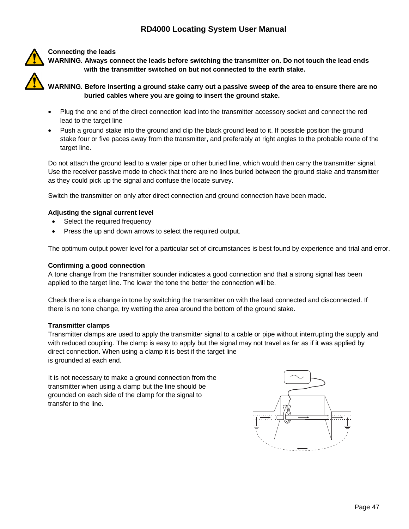# **Connecting the leads**

**WARNING. Always connect the leads before switching the transmitter on. Do not touch the lead ends with the transmitter switched on but not connected to the earth stake.**

**WARNING. Before inserting a ground stake carry out a passive sweep of the area to ensure there are no buried cables where you are going to insert the ground stake.**

- Plug the one end of the direct connection lead into the transmitter accessory socket and connect the red lead to the target line
- Push a ground stake into the ground and clip the black ground lead to it. If possible position the ground stake four or five paces away from the transmitter, and preferably at right angles to the probable route of the target line.

Do not attach the ground lead to a water pipe or other buried line, which would then carry the transmitter signal. Use the receiver passive mode to check that there are no lines buried between the ground stake and transmitter as they could pick up the signal and confuse the locate survey.

Switch the transmitter on only after direct connection and ground connection have been made.

# **Adjusting the signal current level**

- Select the required frequency
- Press the up and down arrows to select the required output.

The optimum output power level for a particular set of circumstances is best found by experience and trial and error.

#### **Confirming a good connection**

A tone change from the transmitter sounder indicates a good connection and that a strong signal has been applied to the target line. The lower the tone the better the connection will be.

Check there is a change in tone by switching the transmitter on with the lead connected and disconnected. If there is no tone change, try wetting the area around the bottom of the ground stake.

#### **Transmitter clamps**

Transmitter clamps are used to apply the transmitter signal to a cable or pipe without interrupting the supply and with reduced coupling. The clamp is easy to apply but the signal may not travel as far as if it was applied by direct connection. When using a clamp it is best if the target line is grounded at each end.

It is not necessary to make a ground connection from the transmitter when using a clamp but the line should be grounded on each side of the clamp for the signal to transfer to the line.

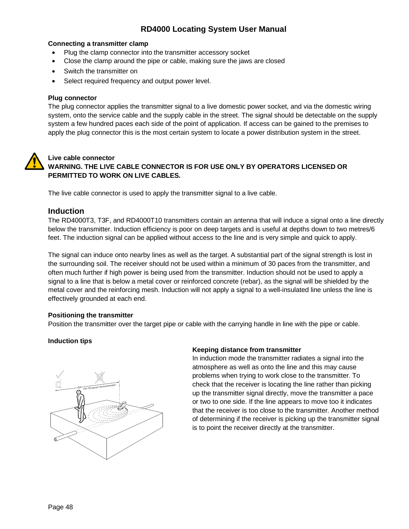#### **Connecting a transmitter clamp**

- Plug the clamp connector into the transmitter accessory socket
- Close the clamp around the pipe or cable, making sure the jaws are closed
- Switch the transmitter on
- Select required frequency and output power level.

#### **Plug connector**

The plug connector applies the transmitter signal to a live domestic power socket, and via the domestic wiring system, onto the service cable and the supply cable in the street. The signal should be detectable on the supply system a few hundred paces each side of the point of application. If access can be gained to the premises to apply the plug connector this is the most certain system to locate a power distribution system in the street.

# **Live cable connector**

# **WARNING. THE LIVE CABLE CONNECTOR IS FOR USE ONLY BY OPERATORS LICENSED OR PERMITTED TO WORK ON LIVE CABLES.**

The live cable connector is used to apply the transmitter signal to a live cable.

# **Induction**

The RD4000T3, T3F, and RD4000T10 transmitters contain an antenna that will induce a signal onto a line directly below the transmitter. Induction efficiency is poor on deep targets and is useful at depths down to two metres/6 feet. The induction signal can be applied without access to the line and is very simple and quick to apply.

The signal can induce onto nearby lines as well as the target. A substantial part of the signal strength is lost in the surrounding soil. The receiver should not be used within a minimum of 30 paces from the transmitter, and often much further if high power is being used from the transmitter. Induction should not be used to apply a signal to a line that is below a metal cover or reinforced concrete (rebar), as the signal will be shielded by the metal cover and the reinforcing mesh. Induction will not apply a signal to a well-insulated line unless the line is effectively grounded at each end.

#### **Positioning the transmitter**

Position the transmitter over the target pipe or cable with the carrying handle in line with the pipe or cable.

# **Induction tips**



# **Keeping distance from transmitter**

In induction mode the transmitter radiates a signal into the atmosphere as well as onto the line and this may cause problems when trying to work close to the transmitter. To check that the receiver is locating the line rather than picking up the transmitter signal directly, move the transmitter a pace or two to one side. If the line appears to move too it indicates that the receiver is too close to the transmitter. Another method of determining if the receiver is picking up the transmitter signal is to point the receiver directly at the transmitter.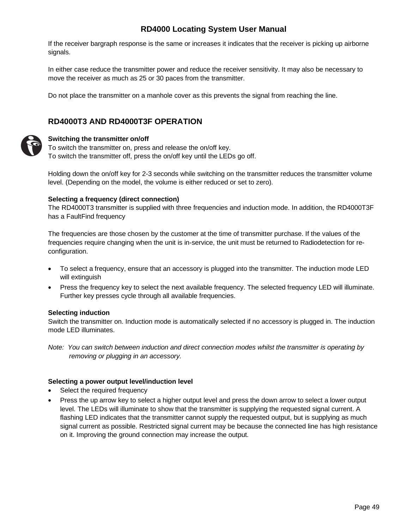If the receiver bargraph response is the same or increases it indicates that the receiver is picking up airborne signals.

In either case reduce the transmitter power and reduce the receiver sensitivity. It may also be necessary to move the receiver as much as 25 or 30 paces from the transmitter.

Do not place the transmitter on a manhole cover as this prevents the signal from reaching the line.

# **RD4000T3 AND RD4000T3F OPERATION**



# **Switching the transmitter on/off**

To switch the transmitter on, press and release the on/off key. To switch the transmitter off, press the on/off key until the LEDs go off.

Holding down the on/off key for 2-3 seconds while switching on the transmitter reduces the transmitter volume level. (Depending on the model, the volume is either reduced or set to zero).

### **Selecting a frequency (direct connection)**

The RD4000T3 transmitter is supplied with three frequencies and induction mode. In addition, the RD4000T3F has a FaultFind frequency

The frequencies are those chosen by the customer at the time of transmitter purchase. If the values of the frequencies require changing when the unit is in-service, the unit must be returned to Radiodetection for reconfiguration.

- To select a frequency, ensure that an accessory is plugged into the transmitter. The induction mode LED will extinguish
- Press the frequency key to select the next available frequency. The selected frequency LED will illuminate. Further key presses cycle through all available frequencies.

# **Selecting induction**

Switch the transmitter on. Induction mode is automatically selected if no accessory is plugged in. The induction mode LED illuminates.

*Note: You can switch between induction and direct connection modes whilst the transmitter is operating by removing or plugging in an accessory.*

# **Selecting a power output level/induction level**

- Select the required frequency
- Press the up arrow key to select a higher output level and press the down arrow to select a lower output level. The LEDs will illuminate to show that the transmitter is supplying the requested signal current. A flashing LED indicates that the transmitter cannot supply the requested output, but is supplying as much signal current as possible. Restricted signal current may be because the connected line has high resistance on it. Improving the ground connection may increase the output.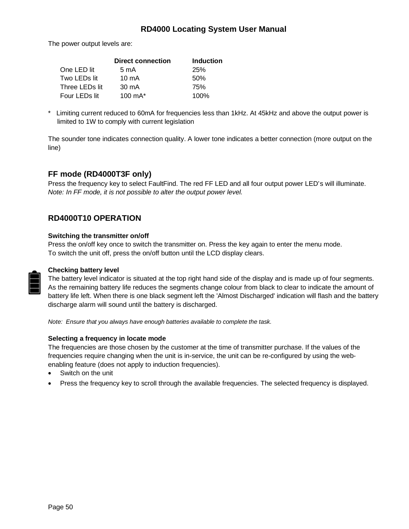The power output levels are:

|                | <b>Direct connection</b> | <b>Induction</b> |
|----------------|--------------------------|------------------|
| One LED lit    | $5 \text{ mA}$           | <b>25%</b>       |
| Two LEDs lit   | $10 \text{ mA}$          | 50%              |
| Three LEDs lit | $30 \text{ mA}$          | 75%              |
| Four LEDs lit  | 100 $mA^*$               | 100%             |

\* Limiting current reduced to 60mA for frequencies less than 1kHz. At 45kHz and above the output power is limited to 1W to comply with current legislation

The sounder tone indicates connection quality. A lower tone indicates a better connection (more output on the line)

# **FF mode (RD4000T3F only)**

Press the frequency key to select FaultFind. The red FF LED and all four output power LED's will illuminate. *Note: In FF mode, it is not possible to alter the output power level.*

# **RD4000T10 OPERATION**

#### **Switching the transmitter on/off**

Press the on/off key once to switch the transmitter on. Press the key again to enter the menu mode. To switch the unit off, press the on/off button until the LCD display clears.



# **Checking battery level**

The battery level indicator is situated at the top right hand side of the display and is made up of four segments. As the remaining battery life reduces the segments change colour from black to clear to indicate the amount of battery life left. When there is one black segment left the 'Almost Discharged' indication will flash and the battery discharge alarm will sound until the battery is discharged.

*Note: Ensure that you always have enough batteries available to complete the task.*

# **Selecting a frequency in locate mode**

The frequencies are those chosen by the customer at the time of transmitter purchase. If the values of the frequencies require changing when the unit is in-service, the unit can be re-configured by using the webenabling feature (does not apply to induction frequencies).

- Switch on the unit
- Press the frequency key to scroll through the available frequencies. The selected frequency is displayed.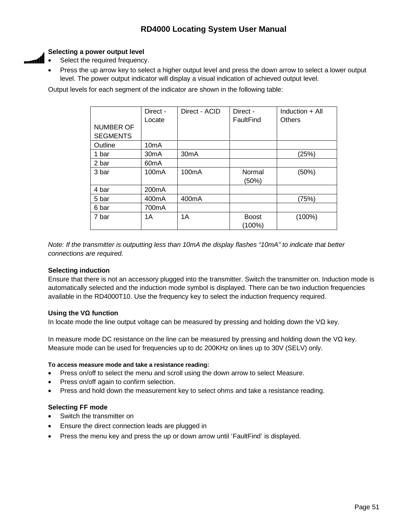# **Selecting a power output level**

<u>. Al</u>

- Select the required frequency.
- Press the up arrow key to select a higher output level and press the down arrow to select a lower output level. The power output indicator will display a visual indication of achieved output level.

Output levels for each segment of the indicator are shown in the following table:

|                 | Direct -<br>Locate | Direct - ACID      | Direct -<br>FaultFind | Induction $+$ All<br><b>Others</b> |
|-----------------|--------------------|--------------------|-----------------------|------------------------------------|
| NUMBER OF       |                    |                    |                       |                                    |
| <b>SEGMENTS</b> |                    |                    |                       |                                    |
| Outline         | 10 <sub>m</sub> A  |                    |                       |                                    |
| 1 bar           | 30 <sub>m</sub> A  | 30mA               |                       | (25%)                              |
| 2 bar           | 60 <sub>m</sub> A  |                    |                       |                                    |
| 3 bar           | 100 <sub>m</sub> A | 100mA              | Normal                | (50%)                              |
|                 |                    |                    | (50%)                 |                                    |
| 4 bar           | 200 <sub>m</sub> A |                    |                       |                                    |
| 5 bar           | 400 <sub>m</sub> A | 400 <sub>m</sub> A |                       | (75%)                              |
| 6 bar           | 700mA              |                    |                       |                                    |
| 7 bar           | 1A                 | 1A                 | <b>Boost</b>          | $(100\%)$                          |
|                 |                    |                    | (100%)                |                                    |

*Note: If the transmitter is outputting less than 10mA the display flashes "10mA" to indicate that better connections are required.*

# **Selecting induction**

Ensure that there is not an accessory plugged into the transmitter. Switch the transmitter on. Induction mode is automatically selected and the induction mode symbol is displayed. There can be two induction frequencies available in the RD4000T10. Use the frequency key to select the induction frequency required.

# **Using the V function**

In locate mode the line output voltage can be measured by pressing and holding down the  $V$  key.

In measure mode DC resistance on the line can be measured by pressing and holding down the V key. Measure mode can be used for frequencies up to dc 200KHz on lines up to 30V (SELV) only.

# **To access measure mode and take a resistance reading:**

- Press on/off to select the menu and scroll using the down arrow to select Measure.
- Press on/off again to confirm selection.
- Press and hold down the measurement key to select ohms and take a resistance reading.

# **Selecting FF mode**

- Switch the transmitter on
- Ensure the direct connection leads are plugged in
- Press the menu key and press the up or down arrow until 'FaultFind' is displayed.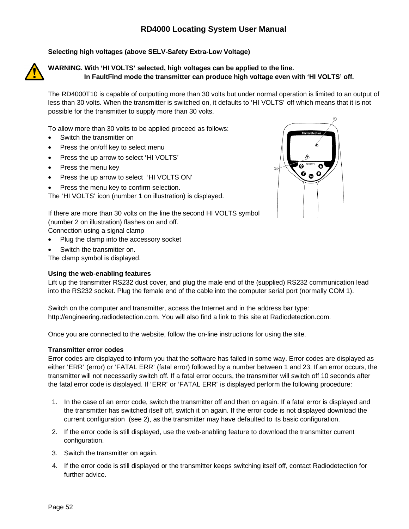# **Selecting high voltages (above SELV-Safety Extra-Low Voltage)**



**WARNING. With 'HI VOLTS' selected, high voltages can be applied to the line. In FaultFind mode the transmitter can produce high voltage even with 'HI VOLTS' off.**

The RD4000T10 is capable of outputting more than 30 volts but under normal operation is limited to an output of less than 30 volts. When the transmitter is switched on, it defaults to 'HI VOLTS' off which means that it is not possible for the transmitter to supply more than 30 volts.

To allow more than 30 volts to be applied proceed as follows:

- Switch the transmitter on
- Press the on/off key to select menu
- Press the up arrow to select 'HI VOLTS'
- Press the menu key
- Press the up arrow to select 'HI VOLTS ON'
- Press the menu key to confirm selection.

The 'HI VOLTS' icon (number 1 on illustration) is displayed.



If there are more than 30 volts on the line the second HI VOLTS symbol (number 2 on illustration) flashes on and off.

Connection using a signal clamp

- Plug the clamp into the accessory socket
- Switch the transmitter on.

The clamp symbol is displayed.

#### **Using the web-enabling features**

Lift up the transmitter RS232 dust cover, and plug the male end of the (supplied) RS232 communication lead into the RS232 socket. Plug the female end of the cable into the computer serial port (normally COM 1).

Switch on the computer and transmitter, access the Internet and in the address bar type: http://engineering.radiodetection.com. You will also find a link to this site at Radiodetection.com.

Once you are connected to the website, follow the on-line instructions for using the site.

#### **Transmitter error codes**

Error codes are displayed to inform you that the software has failed in some way. Error codes are displayed as either 'ERR' (error) or 'FATAL ERR' (fatal error) followed by a number between 1 and 23. If an error occurs, the transmitter will not necessarily switch off. If a fatal error occurs, the transmitter will switch off 10 seconds after the fatal error code is displayed. If 'ERR' or 'FATAL ERR' is displayed perform the following procedure:

- 1. In the case of an error code, switch the transmitter off and then on again. If a fatal error is displayed and the transmitter has switched itself off, switch it on again. If the error code is not displayed download the current configuration (see 2), as the transmitter may have defaulted to its basic configuration.
- 2. If the error code is still displayed, use the web-enabling feature to download the transmitter current configuration.
- 3. Switch the transmitter on again.
- 4. If the error code is still displayed or the transmitter keeps switching itself off, contact Radiodetection for further advice.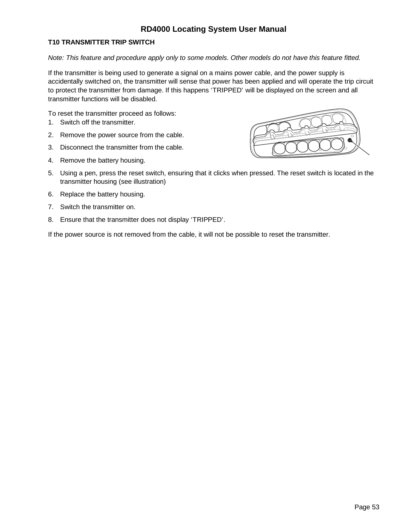# **T10 TRANSMITTER TRIP SWITCH**

*Note: This feature and procedure apply only to some models. Other models do not have this feature fitted.*

If the transmitter is being used to generate a signal on a mains power cable, and the power supply is accidentally switched on, the transmitter will sense that power has been applied and will operate the trip circuit to protect the transmitter from damage. If this happens 'TRIPPED' will be displayed on the screen and all transmitter functions will be disabled.

To reset the transmitter proceed as follows:

- 1. Switch off the transmitter.
- 2. Remove the power source from the cable.
- 3. Disconnect the transmitter from the cable.
- 4. Remove the battery housing.



- 5. Using a pen, press the reset switch, ensuring that it clicks when pressed. The reset switch is located in the transmitter housing (see illustration)
- 6. Replace the battery housing.
- 7. Switch the transmitter on.
- 8. Ensure that the transmitter does not display 'TRIPPED'.

If the power source is not removed from the cable, it will not be possible to reset the transmitter.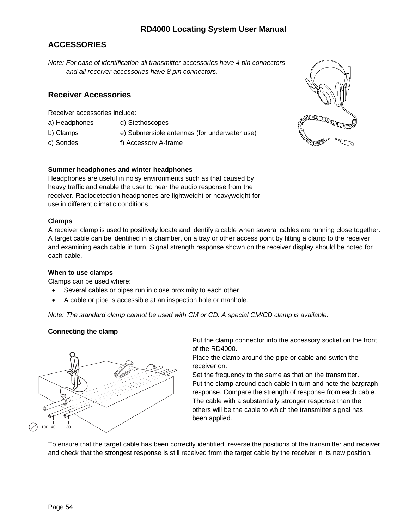# **ACCESSORIES**

*Note: For ease of identification all transmitter accessories have 4 pin connectors and all receiver accessories have 8 pin connectors.*

# **Receiver Accessories**

Receiver accessories include:

- a) Headphones d) Stethoscopes
- b) Clamps e) Submersible antennas (for underwater use)
- c) Sondes f) Accessory A-frame

# **Summer headphones and winter headphones**

Headphones are useful in noisy environments such as that caused by heavy traffic and enable the user to hear the audio response from the receiver. Radiodetection headphones are lightweight or heavyweight for use in different climatic conditions.

### **Clamps**

A receiver clamp is used to positively locate and identify a cable when several cables are running close together. A target cable can be identified in a chamber, on a tray or other access point by fitting a clamp to the receiver and examining each cable in turn. Signal strength response shown on the receiver display should be noted for each cable.

#### **When to use clamps**

Clamps can be used where:

- Several cables or pipes run in close proximity to each other
- A cable or pipe is accessible at an inspection hole or manhole.

*Note: The standard clamp cannot be used with CM or CD. A special CM/CD clamp is available.*

# **Connecting the clamp**



Put the clamp connector into the accessory socket on the front of the RD4000.

Place the clamp around the pipe or cable and switch the receiver on.

Set the frequency to the same as that on the transmitter. Put the clamp around each cable in turn and note the bargraph response. Compare the strength of response from each cable. The cable with a substantially stronger response than the others will be the cable to which the transmitter signal has been applied.

To ensure that the target cable has been correctly identified, reverse the positions of the transmitter and receiver and check that the strongest response is still received from the target cable by the receiver in its new position.

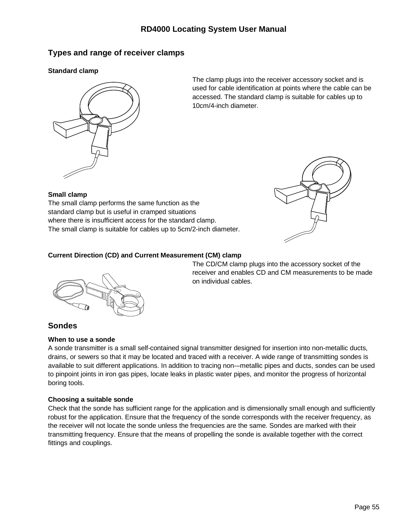# **Types and range of receiver clamps**

# **Standard clamp**



The clamp plugs into the receiver accessory socket and is used for cable identification at points where the cable can be accessed. The standard clamp is suitable for cables up to 10cm/4-inch diameter.

# **Small clamp**

The small clamp performs the same function as the standard clamp but is useful in cramped situations where there is insufficient access for the standard clamp. The small clamp is suitable for cables up to 5cm/2-inch diameter.



# **Current Direction (CD) and Current Measurement (CM) clamp**



The CD/CM clamp plugs into the accessory socket of the receiver and enables CD and CM measurements to be made on individual cables.

# **Sondes**

# **When to use a sonde**

A sonde transmitter is a small self-contained signal transmitter designed for insertion into non-metallic ducts, drains, or sewers so that it may be located and traced with a receiver. A wide range of transmitting sondes is available to suit different applications. In addition to tracing non-–metallic pipes and ducts, sondes can be used to pinpoint joints in iron gas pipes, locate leaks in plastic water pipes, and monitor the progress of horizontal boring tools.

# **Choosing a suitable sonde**

Check that the sonde has sufficient range for the application and is dimensionally small enough and sufficiently robust for the application. Ensure that the frequency of the sonde corresponds with the receiver frequency, as the receiver will not locate the sonde unless the frequencies are the same. Sondes are marked with their transmitting frequency. Ensure that the means of propelling the sonde is available together with the correct fittings and couplings.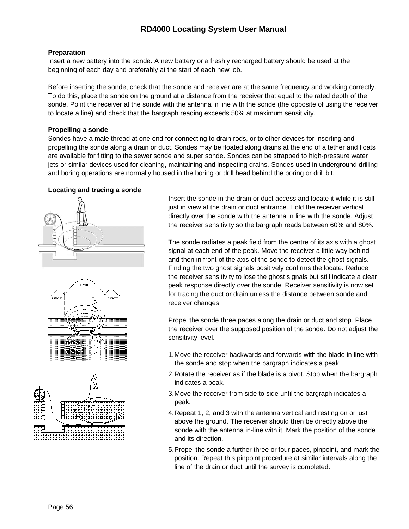### **Preparation**

Insert a new battery into the sonde. A new battery or a freshly recharged battery should be used at the beginning of each day and preferably at the start of each new job.

Before inserting the sonde, check that the sonde and receiver are at the same frequency and working correctly. To do this, place the sonde on the ground at a distance from the receiver that equal to the rated depth of the sonde. Point the receiver at the sonde with the antenna in line with the sonde (the opposite of using the receiver to locate a line) and check that the bargraph reading exceeds 50% at maximum sensitivity.

### **Propelling a sonde**

Sondes have a male thread at one end for connecting to drain rods, or to other devices for inserting and propelling the sonde along a drain or duct. Sondes may be floated along drains at the end of a tether and floats are available for fitting to the sewer sonde and super sonde. Sondes can be strapped to high-pressure water jets or similar devices used for cleaning, maintaining and inspecting drains. Sondes used in underground drilling and boring operations are normally housed in the boring or drill head behind the boring or drill bit.

### **Locating and tracing a sonde**







Insert the sonde in the drain or duct access and locate it while it is still just in view at the drain or duct entrance. Hold the receiver vertical directly over the sonde with the antenna in line with the sonde. Adjust the receiver sensitivity so the bargraph reads between 60% and 80%.

The sonde radiates a peak field from the centre of its axis with a ghost signal at each end of the peak. Move the receiver a little way behind and then in front of the axis of the sonde to detect the ghost signals. Finding the two ghost signals positively confirms the locate. Reduce the receiver sensitivity to lose the ghost signals but still indicate a clear peak response directly over the sonde. Receiver sensitivity is now set for tracing the duct or drain unless the distance between sonde and receiver changes.

Propel the sonde three paces along the drain or duct and stop. Place the receiver over the supposed position of the sonde. Do not adjust the sensitivity level.

- 1.Move the receiver backwards and forwards with the blade in line with the sonde and stop when the bargraph indicates a peak.
- 2.Rotate the receiver as if the blade is a pivot. Stop when the bargraph indicates a peak.
- 3.Move the receiver from side to side until the bargraph indicates a peak.
- 4.Repeat 1, 2, and 3 with the antenna vertical and resting on or just above the ground. The receiver should then be directly above the sonde with the antenna in-line with it. Mark the position of the sonde and its direction.
- 5.Propel the sonde a further three or four paces, pinpoint, and mark the position. Repeat this pinpoint procedure at similar intervals along the line of the drain or duct until the survey is completed.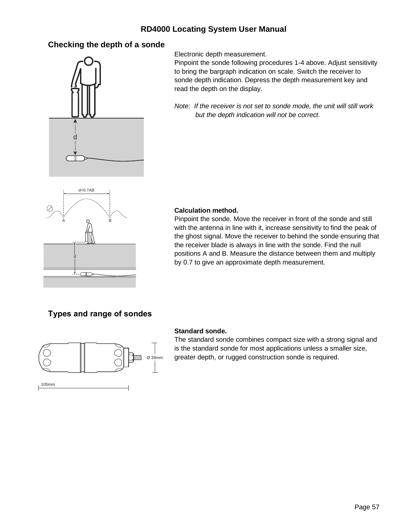# **Checking the depth of a sonde**



Electronic depth measurement.

Pinpoint the sonde following procedures 1-4 above. Adjust sensitivity to bring the bargraph indication on scale. Switch the receiver to sonde depth indication. Depress the depth measurement key and read the depth on the display.

*Note: If the receiver is not set to sonde mode, the unit will still work but the depth indication will not be correct.*



### **Calculation method.**

Pinpoint the sonde. Move the receiver in front of the sonde and still with the antenna in line with it, increase sensitivity to find the peak of the ghost signal. Move the receiver to behind the sonde ensuring that the receiver blade is always in line with the sonde. Find the null positions A and B. Measure the distance between them and multiply by 0.7 to give an approximate depth measurement.

# **Types and range of sondes**



#### **Standard sonde.**

The standard sonde combines compact size with a strong signal and is the standard sonde for most applications unless a smaller size, greater depth, or rugged construction sonde is required.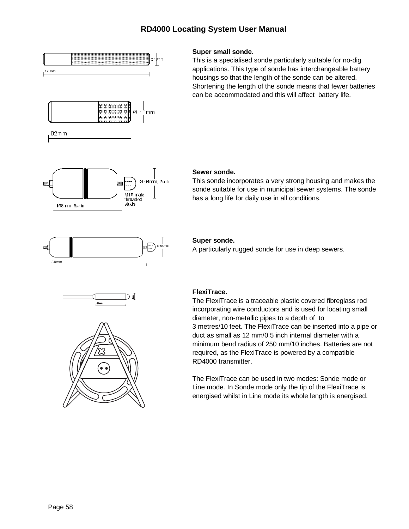

# **Super small sonde.**

This is a specialised sonde particularly suitable for no-dig applications. This type of sonde has interchangeable battery housings so that the length of the sonde can be altered. Shortening the length of the sonde means that fewer batteries can be accommodated and this will affect battery life.

### **Sewer sonde.**

This sonde incorporates a very strong housing and makes the sonde suitable for use in municipal sewer systems. The sonde has a long life for daily use in all conditions.



#### **Super sonde.**

A particularly rugged sonde for use in deep sewers.





# **FlexiTrace.**

The FlexiTrace is a traceable plastic covered fibreglass rod incorporating wire conductors and is used for locating small diameter, non-metallic pipes to a depth of to 3 metres/10 feet. The FlexiTrace can be inserted into a pipe or duct as small as 12 mm/0.5 inch internal diameter with a minimum bend radius of 250 mm/10 inches. Batteries are not required, as the FlexiTrace is powered by a compatible RD4000 transmitter.

The FlexiTrace can be used in two modes: Sonde mode or Line mode. In Sonde mode only the tip of the FlexiTrace is energised whilst in Line mode its whole length is energised.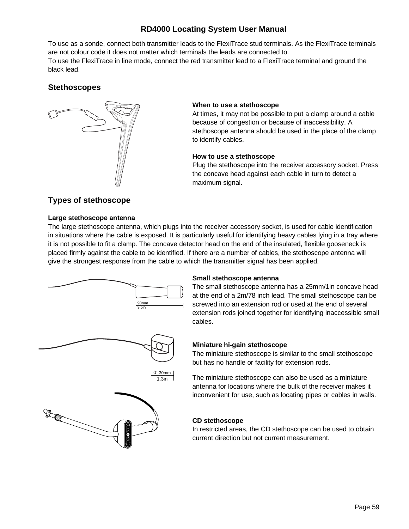To use as a sonde, connect both transmitter leads to the FlexiTrace stud terminals. As the FlexiTrace terminals are not colour code it does not matter which terminals the leads are connected to. To use the FlexiTrace in line mode, connect the red transmitter lead to a FlexiTrace terminal and ground the black lead.

# **Stethoscopes**



### **When to use a stethoscope**

At times, it may not be possible to put a clamp around a cable because of congestion or because of inaccessibility. A stethoscope antenna should be used in the place of the clamp to identify cables.

### **How to use a stethoscope**

Plug the stethoscope into the receiver accessory socket. Press the concave head against each cable in turn to detect a maximum signal.

# **Types of stethoscope**

### **Large stethoscope antenna**

The large stethoscope antenna, which plugs into the receiver accessory socket, is used for cable identification in situations where the cable is exposed. It is particularly useful for identifying heavy cables lying in a tray where it is not possible to fit a clamp. The concave detector head on the end of the insulated, flexible gooseneck is placed firmly against the cable to be identified. If there are a number of cables, the stethoscope antenna will give the strongest response from the cable to which the transmitter signal has been applied.



# **Small stethoscope antenna**

The small stethoscope antenna has a 25mm/1in concave head at the end of a 2m/78 inch lead. The small stethoscope can be screwed into an extension rod or used at the end of several extension rods joined together for identifying inaccessible small cables.

# **Miniature hi-gain stethoscope**

The miniature stethoscope is similar to the small stethoscope but has no handle or facility for extension rods.

The miniature stethoscope can also be used as a miniature antenna for locations where the bulk of the receiver makes it inconvenient for use, such as locating pipes or cables in walls.

#### **CD stethoscope**

In restricted areas, the CD stethoscope can be used to obtain current direction but not current measurement.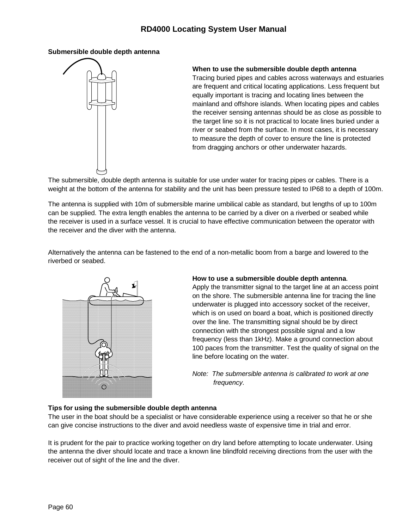### **Submersible double depth antenna**



### **When to use the submersible double depth antenna**

Tracing buried pipes and cables across waterways and estuaries are frequent and critical locating applications. Less frequent but equally important is tracing and locating lines between the mainland and offshore islands. When locating pipes and cables the receiver sensing antennas should be as close as possible to the target line so it is not practical to locate lines buried under a river or seabed from the surface. In most cases, it is necessary to measure the depth of cover to ensure the line is protected from dragging anchors or other underwater hazards.

The submersible, double depth antenna is suitable for use under water for tracing pipes or cables. There is a weight at the bottom of the antenna for stability and the unit has been pressure tested to IP68 to a depth of 100m.

The antenna is supplied with 10m of submersible marine umbilical cable as standard, but lengths of up to 100m can be supplied. The extra length enables the antenna to be carried by a diver on a riverbed or seabed while the receiver is used in a surface vessel. It is crucial to have effective communication between the operator with the receiver and the diver with the antenna.

Alternatively the antenna can be fastened to the end of a non-metallic boom from a barge and lowered to the riverbed or seabed.



#### **How to use a submersible double depth antenna**.

Apply the transmitter signal to the target line at an access point on the shore. The submersible antenna line for tracing the line underwater is plugged into accessory socket of the receiver, which is on used on board a boat, which is positioned directly over the line. The transmitting signal should be by direct connection with the strongest possible signal and a low frequency (less than 1kHz). Make a ground connection about 100 paces from the transmitter. Test the quality of signal on the line before locating on the water.

*Note: The submersible antenna is calibrated to work at one frequency.*

# **Tips for using the submersible double depth antenna**

The user in the boat should be a specialist or have considerable experience using a receiver so that he or she can give concise instructions to the diver and avoid needless waste of expensive time in trial and error.

It is prudent for the pair to practice working together on dry land before attempting to locate underwater. Using the antenna the diver should locate and trace a known line blindfold receiving directions from the user with the receiver out of sight of the line and the diver.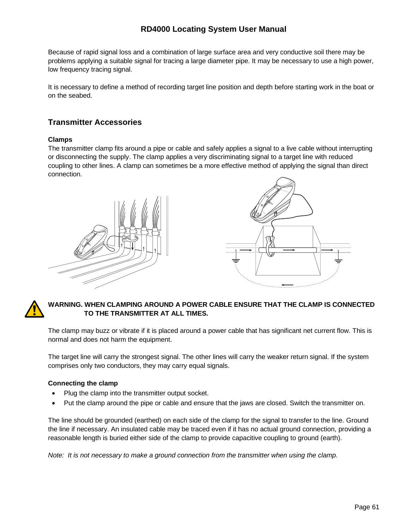Because of rapid signal loss and a combination of large surface area and very conductive soil there may be problems applying a suitable signal for tracing a large diameter pipe. It may be necessary to use a high power, low frequency tracing signal.

It is necessary to define a method of recording target line position and depth before starting work in the boat or on the seabed.

# **Transmitter Accessories**

# **Clamps**

The transmitter clamp fits around a pipe or cable and safely applies a signal to a live cable without interrupting or disconnecting the supply. The clamp applies a very discriminating signal to a target line with reduced coupling to other lines. A clamp can sometimes be a more effective method of applying the signal than direct connection.



# **WARNING. WHEN CLAMPING AROUND A POWER CABLE ENSURE THAT THE CLAMP IS CONNECTED TO THE TRANSMITTER AT ALL TIMES.**

The clamp may buzz or vibrate if it is placed around a power cable that has significant net current flow. This is normal and does not harm the equipment.

The target line will carry the strongest signal. The other lines will carry the weaker return signal. If the system comprises only two conductors, they may carry equal signals.

# **Connecting the clamp**

- Plug the clamp into the transmitter output socket.
- Put the clamp around the pipe or cable and ensure that the jaws are closed. Switch the transmitter on.

The line should be grounded (earthed) on each side of the clamp for the signal to transfer to the line. Ground the line if necessary. An insulated cable may be traced even if it has no actual ground connection, providing a reasonable length is buried either side of the clamp to provide capacitive coupling to ground (earth).

*Note: It is not necessary to make a ground connection from the transmitter when using the clamp.*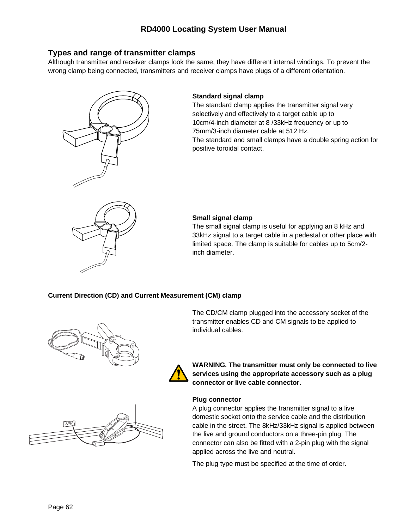# **Types and range of transmitter clamps**

Although transmitter and receiver clamps look the same, they have different internal windings. To prevent the wrong clamp being connected, transmitters and receiver clamps have plugs of a different orientation.



# **Standard signal clamp**

The standard clamp applies the transmitter signal very selectively and effectively to a target cable up to 10cm/4-inch diameter at 8 /33kHz frequency or up to 75mm/3-inch diameter cable at 512 Hz. The standard and small clamps have a double spring action for positive toroidal contact.



#### **Small signal clamp**

The small signal clamp is useful for applying an 8 kHz and 33kHz signal to a target cable in a pedestal or other place with limited space. The clamp is suitable for cables up to 5cm/2 inch diameter.

#### **Current Direction (CD) and Current Measurement (CM) clamp**



The CD/CM clamp plugged into the accessory socket of the transmitter enables CD and CM signals to be applied to individual cables.



**WARNING. The transmitter must only be connected to live services using the appropriate accessory such as a plug connector or live cable connector.**

#### **Plug connector**

A plug connector applies the transmitter signal to a live domestic socket onto the service cable and the distribution cable in the street. The 8kHz/33kHz signal is applied between the live and ground conductors on a three-pin plug. The connector can also be fitted with a 2-pin plug with the signal applied across the live and neutral.

The plug type must be specified at the time of order.

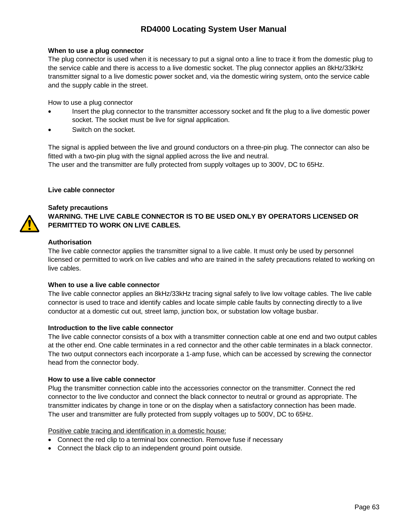#### **When to use a plug connector**

The plug connector is used when it is necessary to put a signal onto a line to trace it from the domestic plug to the service cable and there is access to a live domestic socket. The plug connector applies an 8kHz/33kHz transmitter signal to a live domestic power socket and, via the domestic wiring system, onto the service cable and the supply cable in the street.

How to use a plug connector

- Insert the plug connector to the transmitter accessory socket and fit the plug to a live domestic power socket. The socket must be live for signal application.
- Switch on the socket.

The signal is applied between the live and ground conductors on a three-pin plug. The connector can also be fitted with a two-pin plug with the signal applied across the live and neutral. The user and the transmitter are fully protected from supply voltages up to 300V, DC to 65Hz.

#### **Live cable connector**

### **Safety precautions**

# **WARNING. THE LIVE CABLE CONNECTOR IS TO BE USED ONLY BY OPERATORS LICENSED OR PERMITTED TO WORK ON LIVE CABLES.**

### **Authorisation**

The live cable connector applies the transmitter signal to a live cable. It must only be used by personnel licensed or permitted to work on live cables and who are trained in the safety precautions related to working on live cables.

#### **When to use a live cable connector**

The live cable connector applies an 8kHz/33kHz tracing signal safely to live low voltage cables. The live cable connector is used to trace and identify cables and locate simple cable faults by connecting directly to a live conductor at a domestic cut out, street lamp, junction box, or substation low voltage busbar.

#### **Introduction to the live cable connector**

The live cable connector consists of a box with a transmitter connection cable at one end and two output cables at the other end. One cable terminates in a red connector and the other cable terminates in a black connector. The two output connectors each incorporate a 1-amp fuse, which can be accessed by screwing the connector head from the connector body.

#### **How to use a live cable connector**

Plug the transmitter connection cable into the accessories connector on the transmitter. Connect the red connector to the live conductor and connect the black connector to neutral or ground as appropriate. The transmitter indicates by change in tone or on the display when a satisfactory connection has been made. The user and transmitter are fully protected from supply voltages up to 500V, DC to 65Hz.

Positive cable tracing and identification in a domestic house:

- Connect the red clip to a terminal box connection. Remove fuse if necessary
- Connect the black clip to an independent ground point outside.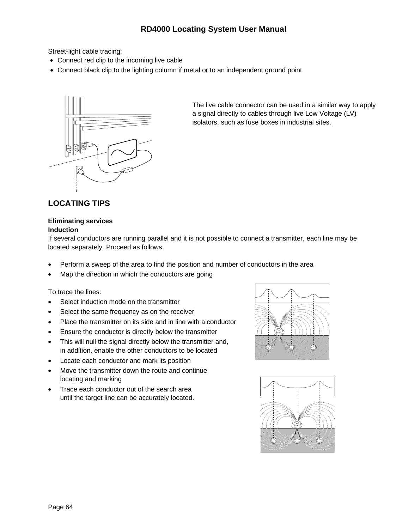Street-light cable tracing:

- Connect red clip to the incoming live cable
- Connect black clip to the lighting column if metal or to an independent ground point.



The live cable connector can be used in a similar way to apply a signal directly to cables through live Low Voltage (LV) isolators, such as fuse boxes in industrial sites.

# **LOCATING TIPS**

### **Eliminating services Induction**

If several conductors are running parallel and it is not possible to connect a transmitter, each line may be located separately. Proceed as follows:

- Perform a sweep of the area to find the position and number of conductors in the area
- Map the direction in which the conductors are going

To trace the lines:

- Select induction mode on the transmitter
- Select the same frequency as on the receiver
- Place the transmitter on its side and in line with a conductor
- Ensure the conductor is directly below the transmitter
- This will null the signal directly below the transmitter and, in addition, enable the other conductors to be located
- Locate each conductor and mark its position
- Move the transmitter down the route and continue locating and marking
- Trace each conductor out of the search area until the target line can be accurately located.



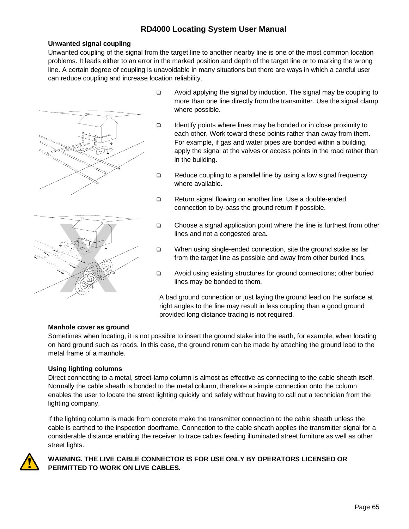# **Unwanted signal coupling**

Unwanted coupling of the signal from the target line to another nearby line is one of the most common location problems. It leads either to an error in the marked position and depth of the target line or to marking the wrong line. A certain degree of coupling is unavoidable in many situations but there are ways in which a careful user can reduce coupling and increase location reliability.





- Avoid applying the signal by induction. The signal may be coupling to more than one line directly from the transmitter. Use the signal clamp where possible.
- Identify points where lines may be bonded or in close proximity to each other. Work toward these points rather than away from them. For example, if gas and water pipes are bonded within a building, apply the signal at the valves or access points in the road rather than in the building.
- $\Box$  Reduce coupling to a parallel line by using a low signal frequency where available.
- □ Return signal flowing on another line. Use a double-ended connection to by-pass the ground return if possible.
- □ Choose a signal application point where the line is furthest from other lines and not a congested area.
- □ When using single-ended connection, site the ground stake as far from the target line as possible and away from other buried lines.
- Avoid using existing structures for ground connections; other buried lines may be bonded to them.

A bad ground connection or just laying the ground lead on the surface at right angles to the line may result in less coupling than a good ground provided long distance tracing is not required.

#### **Manhole cover as ground**

Sometimes when locating, it is not possible to insert the ground stake into the earth, for example, when locating on hard ground such as roads. In this case, the ground return can be made by attaching the ground lead to the metal frame of a manhole.

#### **Using lighting columns**

Direct connecting to a metal, street-lamp column is almost as effective as connecting to the cable sheath itself. Normally the cable sheath is bonded to the metal column, therefore a simple connection onto the column enables the user to locate the street lighting quickly and safely without having to call out a technician from the lighting company.

If the lighting column is made from concrete make the transmitter connection to the cable sheath unless the cable is earthed to the inspection doorframe. Connection to the cable sheath applies the transmitter signal for a considerable distance enabling the receiver to trace cables feeding illuminated street furniture as well as other street lights.



# **WARNING. THE LIVE CABLE CONNECTOR IS FOR USE ONLY BY OPERATORS LICENSED OR PERMITTED TO WORK ON LIVE CABLES.**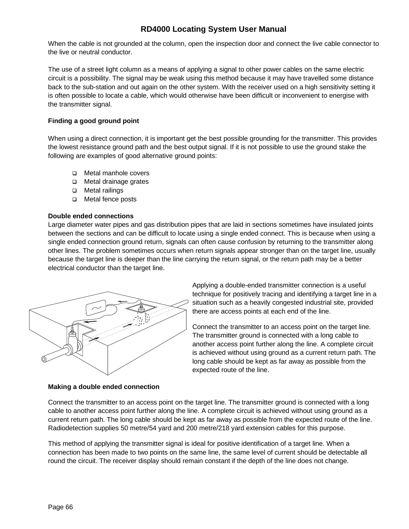When the cable is not grounded at the column, open the inspection door and connect the live cable connector to the live or neutral conductor.

The use of a street light column as a means of applying a signal to other power cables on the same electric circuit is a possibility. The signal may be weak using this method because it may have travelled some distance back to the sub-station and out again on the other system. With the receiver used on a high sensitivity setting it is often possible to locate a cable, which would otherwise have been difficult or inconvenient to energise with the transmitter signal.

# **Finding a good ground point**

When using a direct connection, it is important get the best possible grounding for the transmitter. This provides the lowest resistance ground path and the best output signal. If it is not possible to use the ground stake the following are examples of good alternative ground points:

- □ Metal manhole covers
- □ Metal drainage grates
- □ Metal railings
- □ Metal fence posts

# **Double ended connections**

Large diameter water pipes and gas distribution pipes that are laid in sections sometimes have insulated joints between the sections and can be difficult to locate using a single ended connect. This is because when using a single ended connection ground return, signals can often cause confusion by returning to the transmitter along other lines. The problem sometimes occurs when return signals appear stronger than on the target line, usually because the target line is deeper than the line carrying the return signal, or the return path may be a better electrical conductor than the target line.



# **Making a double ended connection**

Applying a double-ended transmitter connection is a useful technique for positively tracing and identifying a target line in a situation such as a heavily congested industrial site, provided there are access points at each end of the line.

Connect the transmitter to an access point on the target line. The transmitter ground is connected with a long cable to another access point further along the line. A complete circuit is achieved without using ground as a current return path. The long cable should be kept as far away as possible from the expected route of the line.

Connect the transmitter to an access point on the target line. The transmitter ground is connected with a long cable to another access point further along the line. A complete circuit is achieved without using ground as a current return path. The long cable should be kept as far away as possible from the expected route of the line. Radiodetection supplies 50 metre/54 yard and 200 metre/218 yard extension cables for this purpose.

This method of applying the transmitter signal is ideal for positive identification of a target line. When a connection has been made to two points on the same line, the same level of current should be detectable all round the circuit. The receiver display should remain constant if the depth of the line does not change.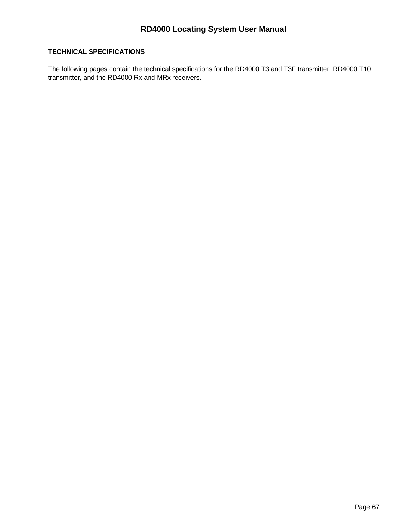# **TECHNICAL SPECIFICATIONS**

The following pages contain the technical specifications for the RD4000 T3 and T3F transmitter, RD4000 T10 transmitter, and the RD4000 Rx and MRx receivers.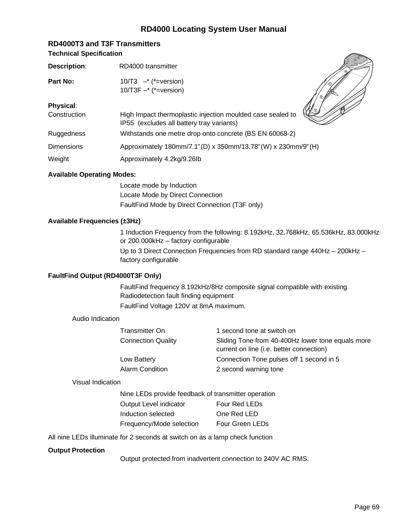# **RD4000T3 and T3F Transmitters Technical Specification**

| <b>Description:</b> | RD4000 transmitter                                                                                              |
|---------------------|-----------------------------------------------------------------------------------------------------------------|
| Part No:            | 10/T3 $-$ <sup>*</sup> ( $*$ =version)<br>$10/T3F - * (*=version)$                                              |
| Physical:           |                                                                                                                 |
| Construction        | પ્∭⊛<br>High Impact thermoplastic injection moulded case sealed to<br>IP55 (excludes all battery tray variants) |
| <b>Ruggedness</b>   | Withstands one metre drop onto concrete (BS EN 60068-2)                                                         |
| <b>Dimensions</b>   | Approximately 180mm/7.1" (D) x 350mm/13.78" (W) x 230mm/9" (H)                                                  |
| Weight              | Approximately 4.2kg/9.26lb                                                                                      |

# **Available Operating Modes:**

Locate mode by Induction Locate Mode by Direct Connection FaultFind Mode by Direct Connection (T3F only)

# **Available Frequencies (±3Hz)**

1 Induction Frequency from the following: 8.192kHz, 32.768kHz, 65.536kHz, 83.000kHz or 200.000kHz – factory configurable Up to 3 Direct Connection Frequencies from RD standard range 440Hz – 200kHz – factory configurable

# **FaultFind Output (RD4000T3F Only)**

FaultFind frequency 8.192kHz/8Hz composite signal compatible with existing Radiodetection fault finding equipment FaultFind Voltage 120V at 8mA maximum.

# Audio Indication

| Transmitter On            | 1 second tone at switch on                                                                    |
|---------------------------|-----------------------------------------------------------------------------------------------|
| <b>Connection Quality</b> | Sliding Tone from 40-400Hz lower tone equals more<br>current on line (i.e. better connection) |
| Low Battery               | Connection Tone pulses off 1 second in 5                                                      |
| Alarm Condition           | 2 second warning tone                                                                         |

# Visual Indication

| Nine LEDs provide feedback of transmitter operation |                 |  |
|-----------------------------------------------------|-----------------|--|
| Output Level indicator                              | Four Red LEDs   |  |
| Induction selected                                  | One Red LED     |  |
| Frequency/Mode selection                            | Four Green LEDs |  |

All nine LEDs illuminate for 2 seconds at switch on as a lamp check function

# **Output Protection**

Output protected from inadvertent connection to 240V AC RMS.

**Radiodetection RD4000T3**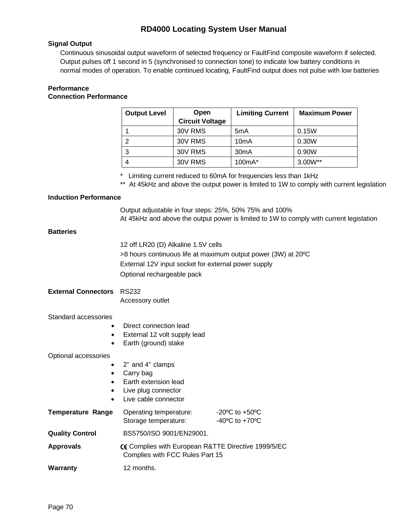### **Signal Output**

Continuous sinusoidal output waveform of selected frequency or FaultFind composite waveform if selected. Output pulses off 1 second in 5 (synchronised to connection tone) to indicate low battery conditions in normal modes of operation. To enable continued locating, FaultFind output does not pulse with low batteries

#### **Performance Connection Performance**

| <b>Output Level</b> | Open<br><b>Circuit Voltage</b> | <b>Limiting Current</b> | <b>Maximum Power</b> |
|---------------------|--------------------------------|-------------------------|----------------------|
|                     | 30V RMS                        | 5 <sub>m</sub> A        | 0.15W                |
| 2                   | 30V RMS                        | 10 <sub>m</sub> A       | 0.30W                |
| 3                   | 30V RMS                        | 30 <sub>m</sub> A       | 0.90W                |
|                     | 30V RMS                        | 100mA*                  | $3.00W^{**}$         |

\* Limiting current reduced to 60mA for frequencies less than 1kHz

\*\* At 45kHz and above the output power is limited to 1W to comply with current legislation

#### **Induction Performance**

Output adjustable in four steps: 25%, 50% 75% and 100% At 45kHz and above the output power is limited to 1W to comply with current legislation

# **Batteries**

12 off LR20 (D) Alkaline 1.5V cells >8 hours continuous life at maximum output power (3W) at 20ºC External 12V input socket for external power supply Optional rechargeable pack

#### **External Connectors** RS232 Accessory outlet

#### Standard accessories

- Direct connection lead
- External 12 volt supply lead
- Earth (ground) stake

#### Optional accessories

- 2" and 4" clamps
- Carry bag
- Earth extension lead
- Live plug connector
- Live cable connector

| <b>Temperature Range</b> | Operating temperature:<br>Storage temperature:                                         | $-20^{\circ}$ C to $+50^{\circ}$ C<br>$-40^{\circ}$ C to $+70^{\circ}$ C |
|--------------------------|----------------------------------------------------------------------------------------|--------------------------------------------------------------------------|
| <b>Quality Control</b>   | BS5750/ISO 9001/EN29001.                                                               |                                                                          |
| <b>Approvals</b>         | CE Complies with European R&TTE Directive 1999/5/EC<br>Complies with FCC Rules Part 15 |                                                                          |
| Warranty                 | 12 months.                                                                             |                                                                          |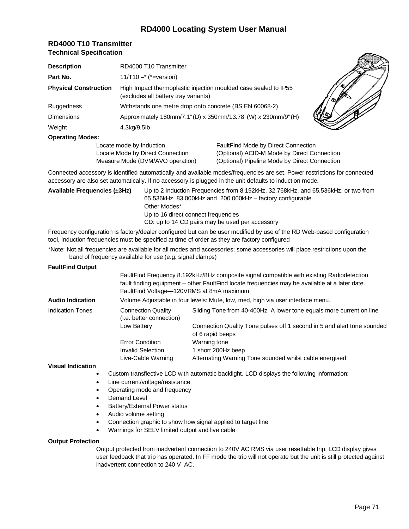| <b>RD4000 T10 Transmitter</b>  |
|--------------------------------|
| <b>Technical Specification</b> |

| <b>Description</b>           | RD4000 T10 Transmitter               |                                                                 |  |
|------------------------------|--------------------------------------|-----------------------------------------------------------------|--|
| Part No.                     | 11/T10 $-$ * (*=version)             |                                                                 |  |
| <b>Physical Construction</b> | (excludes all battery tray variants) | High Impact thermoplastic injection moulded case sealed to IP55 |  |
| Ruggedness                   |                                      | Withstands one metre drop onto concrete (BS EN 60068-2)         |  |
| <b>Dimensions</b>            |                                      | Approximately 180mm/7.1"(D) x 350mm/13.78"(W) x 230mm/9"(H)     |  |
| Weight                       | 4.3kg/9.5lb                          |                                                                 |  |
| <b>Operating Modes:</b>      |                                      |                                                                 |  |
|                              | Locate mode by Induction             | FaultFind Mode by Direct Connection                             |  |

Locate Mode by Direct Connection (Optional) ACID-M Mode by Direct Connection Measure Mode (DVM/AVO operation) (Optional) Pipeline Mode by Direct Connection

Connected accessory is identified automatically and available modes/frequencies are set. Power restrictions for connected accessory are also set automatically. If no accessory is plugged in the unit defaults to induction mode.

**Available Frequencies (±3Hz)** Up to 2 Induction Frequencies from 8.192kHz, 32.768kHz, and 65.536kHz, or two from 65.536kHz, 83.000kHz and 200.000kHz – factory configurable Other Modes\* Up to 16 direct connect frequencies CD: up to 14 CD pairs may be used per accessory

Frequency configuration is factory/dealer configured but can be user modified by use of the RD Web-based configuration tool. Induction frequencies must be specified at time of order as they are factory configured

\*Note: Not all frequencies are available for all modes and accessories; some accessories will place restrictions upon the band of frequency available for use (e.g. signal clamps)

#### **FaultFind Output**

|                         |                                                                                 | FaultFind Frequency 8.192kHz/8Hz composite signal compatible with existing Radiodetection<br>fault finding equipment – other FaultFind locate frequencies may be available at a later date.<br>FaultFind Voltage-120VRMS at 8mA maximum. |
|-------------------------|---------------------------------------------------------------------------------|------------------------------------------------------------------------------------------------------------------------------------------------------------------------------------------------------------------------------------------|
| <b>Audio Indication</b> | Volume Adjustable in four levels: Mute, low, med, high via user interface menu. |                                                                                                                                                                                                                                          |
| Indication Tones        | <b>Connection Quality</b><br>(i.e. better connection)                           | Sliding Tone from 40-400Hz. A lower tone equals more current on line                                                                                                                                                                     |
|                         | Low Battery                                                                     | Connection Quality Tone pulses off 1 second in 5 and alert tone sounded<br>of 6 rapid beeps                                                                                                                                              |
|                         | <b>Error Condition</b>                                                          | Warning tone                                                                                                                                                                                                                             |
|                         | Invalid Selection                                                               | 1 short 200Hz beep                                                                                                                                                                                                                       |
|                         | Live-Cable Warning                                                              | Alternating Warning Tone sounded whilst cable energised                                                                                                                                                                                  |
|                         |                                                                                 |                                                                                                                                                                                                                                          |

**Visual Indication**

- Custom transflective LCD with automatic backlight. LCD displays the following information:
- Line current/voltage/resistance
- Operating mode and frequency
- Demand Level
- Battery/External Power status
- Audio volume setting
- Connection graphic to show how signal applied to target line
- Warnings for SELV limited output and live cable

#### **Output Protection**

Output protected from inadvertent connection to 240V AC RMS via user resettable trip. LCD display gives user feedback that trip has operated. In FF mode the trip will not operate but the unit is still protected against inadvertent connection to 240 V AC.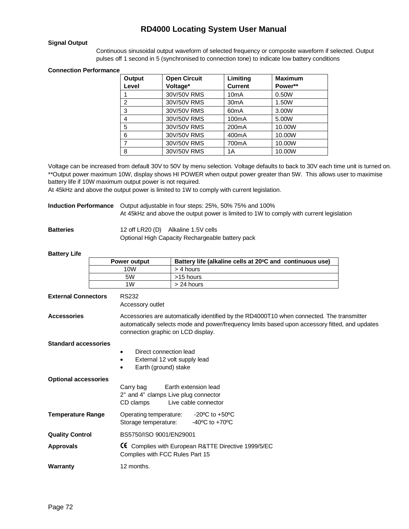#### **Signal Output**

Continuous sinusoidal output waveform of selected frequency or composite waveform if selected. Output pulses off 1 second in 5 (synchronised to connection tone) to indicate low battery conditions

#### **Connection Performance**

| Output         | <b>Open Circuit</b> | Limiting           | <b>Maximum</b> |
|----------------|---------------------|--------------------|----------------|
| Level          | Voltage*            | <b>Current</b>     | Power**        |
|                | 30V/50V RMS         | 10 <sub>m</sub> A  | 0.50W          |
| $\overline{2}$ | 30V/50V RMS         | 30 <sub>m</sub> A  | 1.50W          |
| 3              | 30V/50V RMS         | 60 <sub>m</sub> A  | 3.00W          |
| 4              | 30V/50V RMS         | 100 <sub>m</sub> A | 5.00W          |
| 5              | 30V/50V RMS         | 200mA              | 10.00W         |
| 6              | 30V/50V RMS         | 400mA              | 10.00W         |
|                | 30V/50V RMS         | 700mA              | 10.00W         |
| 8              | 30V/50V RMS         | 1А                 | 10.00W         |

Voltage can be increased from default 30V to 50V by menu selection. Voltage defaults to back to 30V each time unit is turned on. \*\*Output power maximum 10W, display shows HI POWER when output power greater than 5W. This allows user to maximise battery life if 10W maximum output power is not required.

At 45kHz and above the output power is limited to 1W to comply with current legislation.

**Induction Performance** Output adjustable in four steps: 25%, 50% 75% and 100% At 45kHz and above the output power is limited to 1W to comply with current legislation

**Batteries** 12 off LR20 (D) Alkaline 1.5V cells

Optional High Capacity Rechargeable battery pack

#### **Battery Life**

|                             | <b>Power output</b>                            | Battery life (alkaline cells at 20°C and continuous use)                                                                                                                                                                          |  |  |
|-----------------------------|------------------------------------------------|-----------------------------------------------------------------------------------------------------------------------------------------------------------------------------------------------------------------------------------|--|--|
|                             | 10W                                            | > 4 hours                                                                                                                                                                                                                         |  |  |
|                             | 5W                                             | >15 hours                                                                                                                                                                                                                         |  |  |
|                             | 1W                                             | > 24 hours                                                                                                                                                                                                                        |  |  |
| <b>External Connectors</b>  | <b>RS232</b><br>Accessory outlet               |                                                                                                                                                                                                                                   |  |  |
| <b>Accessories</b>          |                                                | Accessories are automatically identified by the RD4000T10 when connected. The transmitter<br>automatically selects mode and power/frequency limits based upon accessory fitted, and updates<br>connection graphic on LCD display. |  |  |
| <b>Standard accessories</b> | $\bullet$<br>$\bullet$                         | Direct connection lead                                                                                                                                                                                                            |  |  |
|                             | ٠                                              | External 12 volt supply lead<br>Earth (ground) stake                                                                                                                                                                              |  |  |
| <b>Optional accessories</b> | Carry bag<br>CD clamps                         | Earth extension lead<br>2" and 4" clamps Live plug connector<br>Live cable connector                                                                                                                                              |  |  |
| <b>Temperature Range</b>    | Operating temperature:<br>Storage temperature: | $-20^{\circ}$ C to $+50^{\circ}$ C<br>$-40^{\circ}$ C to $+70^{\circ}$ C                                                                                                                                                          |  |  |
| <b>Quality Control</b>      |                                                | BS5750/ISO 9001/EN29001                                                                                                                                                                                                           |  |  |
| <b>Approvals</b>            |                                                | CE Complies with European R&TTE Directive 1999/5/EC<br>Complies with FCC Rules Part 15                                                                                                                                            |  |  |
| <b>Warranty</b>             | 12 months.                                     |                                                                                                                                                                                                                                   |  |  |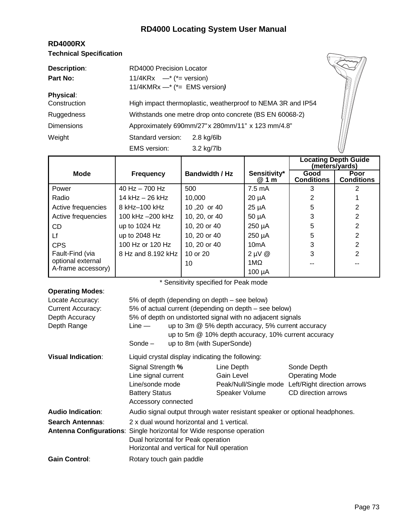## **RD4000 Locating System User Manual**

| <b>RD4000RX</b>                |  |  |  |  |  |
|--------------------------------|--|--|--|--|--|
| <b>Technical Specification</b> |  |  |  |  |  |

| <b>Technical Specification</b> |                                                             |              |  |
|--------------------------------|-------------------------------------------------------------|--------------|--|
| <b>Description:</b>            | RD4000 Precision Locator                                    |              |  |
| Part No:                       | 11/4KRx $-$ <sup>*</sup> ( <sup>*</sup> = version)          |              |  |
|                                | 11/4KMRx $-$ * (*= EMS version)                             |              |  |
| <b>Physical:</b>               |                                                             |              |  |
| Construction                   | High impact thermoplastic, weatherproof to NEMA 3R and IP54 |              |  |
| Ruggedness                     | Withstands one metre drop onto concrete (BS EN 60068-2)     |              |  |
| <b>Dimensions</b>              | Approximately 690mm/27" x 280mm/11" x 123 mm/4.8"           |              |  |
| Weight                         | Standard version:                                           | $2.8$ kg/6lb |  |
|                                | EMS version:                                                | 3.2 kg/7lb   |  |

|                    |                    |                       |                       | <b>Locating Depth Guide</b><br>(meters/yards) |                           |
|--------------------|--------------------|-----------------------|-----------------------|-----------------------------------------------|---------------------------|
| <b>Mode</b>        | <b>Frequency</b>   | <b>Bandwidth / Hz</b> | Sensitivity*<br>@ 1 m | Good<br><b>Conditions</b>                     | Poor<br><b>Conditions</b> |
| Power              | 40 Hz $-$ 700 Hz   | 500                   | 7.5 mA                |                                               |                           |
| Radio              | 14 kHz $-$ 26 kHz  | 10,000                | $20 \mu A$            | 2                                             |                           |
| Active frequencies | 8 kHz-100 kHz      | 10,20 or 40           | $25 \mu A$            | 5                                             | 2                         |
| Active frequencies | 100 kHz -200 kHz   | 10, 20, or 40         | $50 \mu A$            | 3                                             | 2                         |
| CD                 | up to $1024$ Hz    | 10, 20 or 40          | 250 µA                | 5                                             | 2                         |
| Lf                 | up to 2048 Hz      | 10, 20 or 40          | 250 µA                | 5                                             | 2                         |
| <b>CPS</b>         | 100 Hz or 120 Hz   | 10, 20 or 40          | 10mA                  | 3                                             | 2                         |
| Fault-Find (via    | 8 Hz and 8.192 kHz | 10 or 20              | $2 \mu V \&$          | 3                                             | 2                         |
| optional external  |                    | 10                    | 1M                    |                                               |                           |
| A-frame accessory) |                    |                       | 100 µA                |                                               |                           |

\* Sensitivity specified for Peak mode

| <b>Operating Modes:</b>                                                       |                                                                                                                      |                            |                |                                                   |  |  |
|-------------------------------------------------------------------------------|----------------------------------------------------------------------------------------------------------------------|----------------------------|----------------|---------------------------------------------------|--|--|
| Locate Accuracy:                                                              | 5% of depth (depending on depth – see below)                                                                         |                            |                |                                                   |  |  |
| <b>Current Accuracy:</b>                                                      | 5% of actual current (depending on depth – see below)                                                                |                            |                |                                                   |  |  |
| Depth Accuracy                                                                | 5% of depth on undistorted signal with no adjacent signals                                                           |                            |                |                                                   |  |  |
| Depth Range                                                                   | up to 3m @ 5% depth accuracy, 5% current accuracy<br>$Line -$<br>up to 5m @ 10% depth accuracy, 10% current accuracy |                            |                |                                                   |  |  |
|                                                                               | Sonde $-$                                                                                                            | up to 8m (with SuperSonde) |                |                                                   |  |  |
| <b>Visual Indication:</b><br>Liquid crystal display indicating the following: |                                                                                                                      |                            |                |                                                   |  |  |
|                                                                               | Signal Strength %                                                                                                    |                            | Line Depth     | Sonde Depth                                       |  |  |
|                                                                               | Line signal current                                                                                                  |                            | Gain Level     | <b>Operating Mode</b>                             |  |  |
|                                                                               | Line/sonde mode                                                                                                      |                            |                | Peak/Null/Single mode Left/Right direction arrows |  |  |
| <b>Battery Status</b>                                                         |                                                                                                                      |                            | Speaker Volume | CD direction arrows                               |  |  |
|                                                                               | Accessory connected                                                                                                  |                            |                |                                                   |  |  |
| <b>Audio Indication:</b>                                                      | Audio signal output through water resistant speaker or optional headphones.                                          |                            |                |                                                   |  |  |
| Search Antennas:                                                              | 2 x dual wound horizontal and 1 vertical.                                                                            |                            |                |                                                   |  |  |
|                                                                               | <b>Antenna Configurations:</b> Single horizontal for Wide response operation                                         |                            |                |                                                   |  |  |
|                                                                               | Dual horizontal for Peak operation                                                                                   |                            |                |                                                   |  |  |
|                                                                               | Horizontal and vertical for Null operation                                                                           |                            |                |                                                   |  |  |
| <b>Gain Control:</b>                                                          | Rotary touch gain paddle                                                                                             |                            |                |                                                   |  |  |